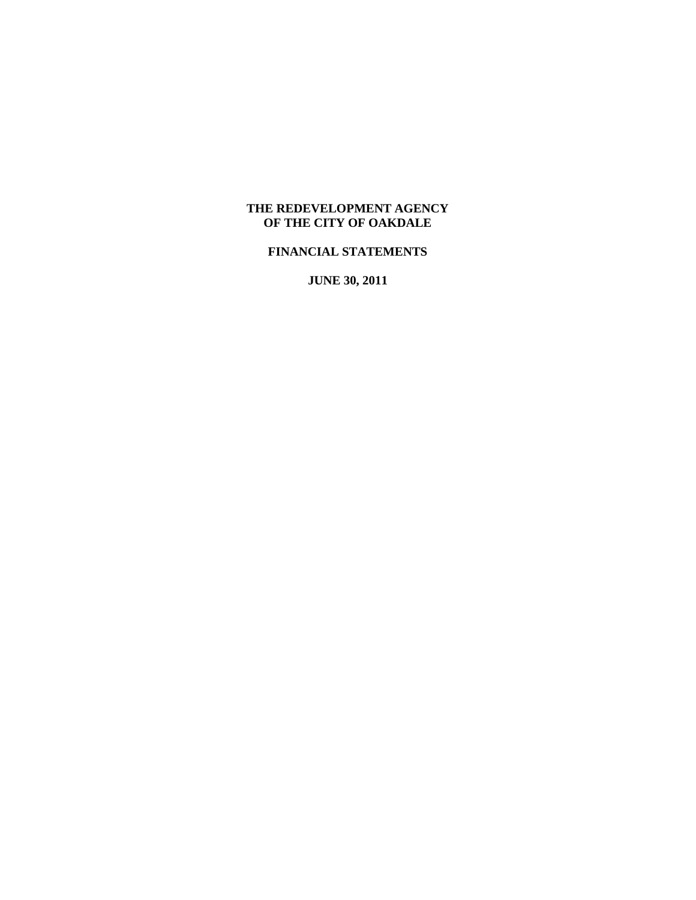# **THE REDEVELOPMENT AGENCY OF THE CITY OF OAKDALE**

# **FINANCIAL STATEMENTS**

**JUNE 30, 2011**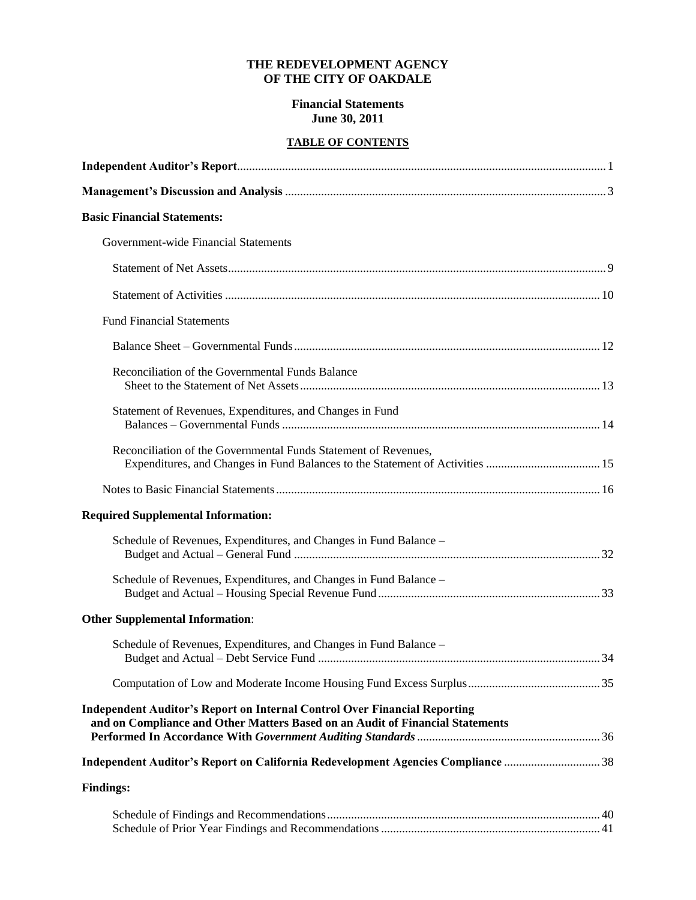### **THE REDEVELOPMENT AGENCY OF THE CITY OF OAKDALE**

### **Financial Statements June 30, 2011**

# **TABLE OF CONTENTS**

| <b>Basic Financial Statements:</b>                                                                                                                                |  |
|-------------------------------------------------------------------------------------------------------------------------------------------------------------------|--|
| Government-wide Financial Statements                                                                                                                              |  |
|                                                                                                                                                                   |  |
|                                                                                                                                                                   |  |
| <b>Fund Financial Statements</b>                                                                                                                                  |  |
|                                                                                                                                                                   |  |
| Reconciliation of the Governmental Funds Balance                                                                                                                  |  |
| Statement of Revenues, Expenditures, and Changes in Fund                                                                                                          |  |
| Reconciliation of the Governmental Funds Statement of Revenues,                                                                                                   |  |
|                                                                                                                                                                   |  |
| <b>Required Supplemental Information:</b>                                                                                                                         |  |
| Schedule of Revenues, Expenditures, and Changes in Fund Balance -                                                                                                 |  |
| Schedule of Revenues, Expenditures, and Changes in Fund Balance -                                                                                                 |  |
| <b>Other Supplemental Information:</b>                                                                                                                            |  |
| Schedule of Revenues, Expenditures, and Changes in Fund Balance -                                                                                                 |  |
|                                                                                                                                                                   |  |
| <b>Independent Auditor's Report on Internal Control Over Financial Reporting</b><br>and on Compliance and Other Matters Based on an Audit of Financial Statements |  |
|                                                                                                                                                                   |  |
|                                                                                                                                                                   |  |
| <b>Findings:</b>                                                                                                                                                  |  |
|                                                                                                                                                                   |  |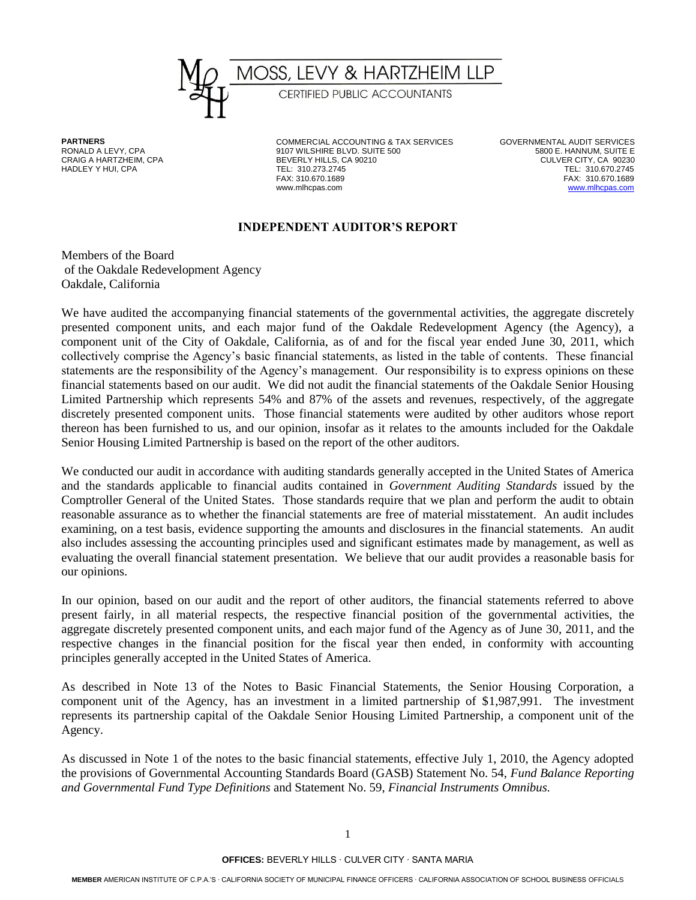

HADLEY Y HUI, CPA TEL: 310.273.2745

**PARTNERS** COMMERCIAL ACCOUNTING & TAX SERVICES GOVERNMENTAL AUDIT SERVICES RONALD A LEVY, CPA 9107 WILSHIRE BLVD. SUITE 500 5800 E. HANNUM, SUITE E BEVERLY HILLS, CA 90210 CULVER CITY, CA 90230<br>TEL: 310.273.2745 TEL: 10.670.2745 FAX: 310.670.1689 FAX: 310.670.1689 www.mlhcpas.com [www.mlhcpas.com](http://www.mlhcpas.com/)

### **INDEPENDENT AUDITOR'S REPORT**

Members of the Board of the Oakdale Redevelopment Agency Oakdale, California

We have audited the accompanying financial statements of the governmental activities, the aggregate discretely presented component units, and each major fund of the Oakdale Redevelopment Agency (the Agency), a component unit of the City of Oakdale, California, as of and for the fiscal year ended June 30, 2011, which collectively comprise the Agency's basic financial statements, as listed in the table of contents. These financial statements are the responsibility of the Agency's management. Our responsibility is to express opinions on these financial statements based on our audit. We did not audit the financial statements of the Oakdale Senior Housing Limited Partnership which represents 54% and 87% of the assets and revenues, respectively, of the aggregate discretely presented component units. Those financial statements were audited by other auditors whose report thereon has been furnished to us, and our opinion, insofar as it relates to the amounts included for the Oakdale Senior Housing Limited Partnership is based on the report of the other auditors.

We conducted our audit in accordance with auditing standards generally accepted in the United States of America and the standards applicable to financial audits contained in *Government Auditing Standards* issued by the Comptroller General of the United States. Those standards require that we plan and perform the audit to obtain reasonable assurance as to whether the financial statements are free of material misstatement. An audit includes examining, on a test basis, evidence supporting the amounts and disclosures in the financial statements. An audit also includes assessing the accounting principles used and significant estimates made by management, as well as evaluating the overall financial statement presentation. We believe that our audit provides a reasonable basis for our opinions.

In our opinion, based on our audit and the report of other auditors, the financial statements referred to above present fairly, in all material respects, the respective financial position of the governmental activities, the aggregate discretely presented component units, and each major fund of the Agency as of June 30, 2011, and the respective changes in the financial position for the fiscal year then ended, in conformity with accounting principles generally accepted in the United States of America.

As described in Note 13 of the Notes to Basic Financial Statements, the Senior Housing Corporation, a component unit of the Agency, has an investment in a limited partnership of \$1,987,991. The investment represents its partnership capital of the Oakdale Senior Housing Limited Partnership, a component unit of the Agency.

As discussed in Note 1 of the notes to the basic financial statements, effective July 1, 2010, the Agency adopted the provisions of Governmental Accounting Standards Board (GASB) Statement No. 54, *Fund Balance Reporting and Governmental Fund Type Definitions* and Statement No. 59, *Financial Instruments Omnibus.*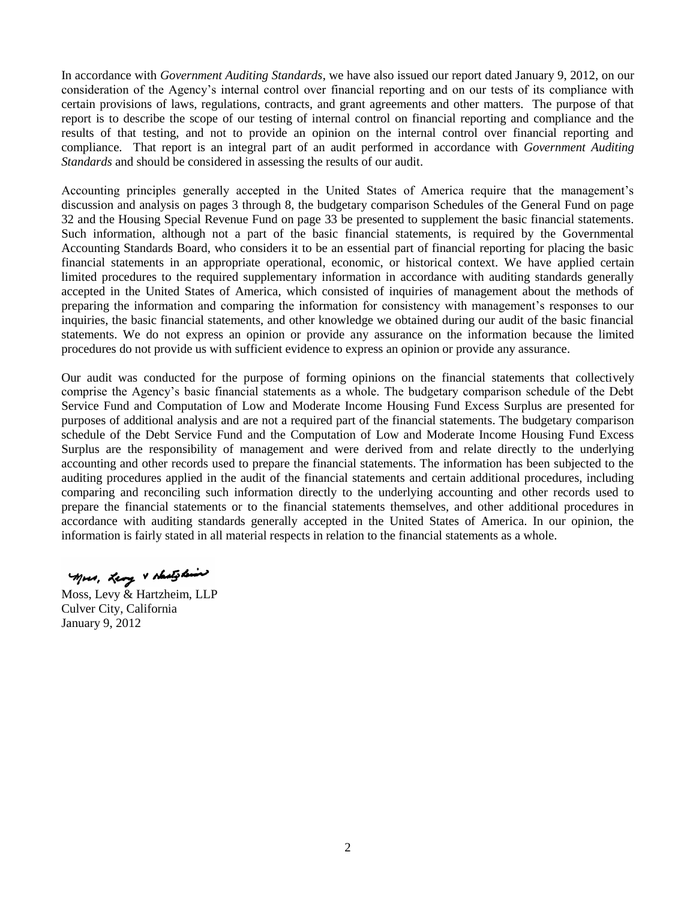In accordance with *Government Auditing Standards*, we have also issued our report dated January 9, 2012, on our consideration of the Agency's internal control over financial reporting and on our tests of its compliance with certain provisions of laws, regulations, contracts, and grant agreements and other matters. The purpose of that report is to describe the scope of our testing of internal control on financial reporting and compliance and the results of that testing, and not to provide an opinion on the internal control over financial reporting and compliance. That report is an integral part of an audit performed in accordance with *Government Auditing Standards* and should be considered in assessing the results of our audit.

Accounting principles generally accepted in the United States of America require that the management's discussion and analysis on pages 3 through 8, the budgetary comparison Schedules of the General Fund on page 32 and the Housing Special Revenue Fund on page 33 be presented to supplement the basic financial statements. Such information, although not a part of the basic financial statements, is required by the Governmental Accounting Standards Board, who considers it to be an essential part of financial reporting for placing the basic financial statements in an appropriate operational, economic, or historical context. We have applied certain limited procedures to the required supplementary information in accordance with auditing standards generally accepted in the United States of America, which consisted of inquiries of management about the methods of preparing the information and comparing the information for consistency with management's responses to our inquiries, the basic financial statements, and other knowledge we obtained during our audit of the basic financial statements. We do not express an opinion or provide any assurance on the information because the limited procedures do not provide us with sufficient evidence to express an opinion or provide any assurance.

Our audit was conducted for the purpose of forming opinions on the financial statements that collectively comprise the Agency's basic financial statements as a whole. The budgetary comparison schedule of the Debt Service Fund and Computation of Low and Moderate Income Housing Fund Excess Surplus are presented for purposes of additional analysis and are not a required part of the financial statements. The budgetary comparison schedule of the Debt Service Fund and the Computation of Low and Moderate Income Housing Fund Excess Surplus are the responsibility of management and were derived from and relate directly to the underlying accounting and other records used to prepare the financial statements. The information has been subjected to the auditing procedures applied in the audit of the financial statements and certain additional procedures, including comparing and reconciling such information directly to the underlying accounting and other records used to prepare the financial statements or to the financial statements themselves, and other additional procedures in accordance with auditing standards generally accepted in the United States of America. In our opinion, the information is fairly stated in all material respects in relation to the financial statements as a whole.

Mors, Leng & shatshine

Moss, Levy & Hartzheim, LLP Culver City, California January 9, 2012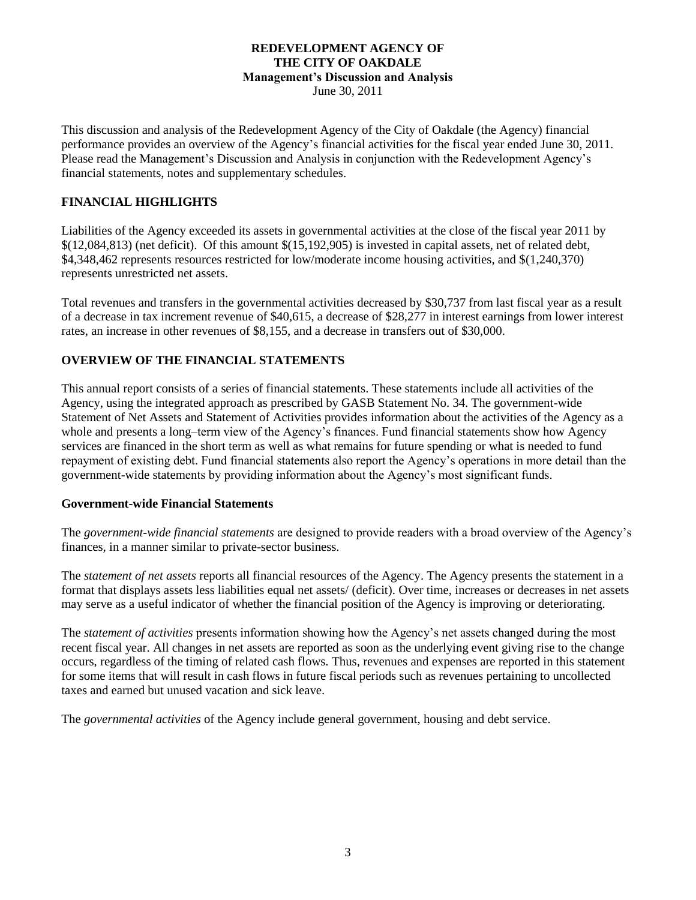# **REDEVELOPMENT AGENCY OF THE CITY OF OAKDALE Management's Discussion and Analysis**

June 30, 2011

This discussion and analysis of the Redevelopment Agency of the City of Oakdale (the Agency) financial performance provides an overview of the Agency's financial activities for the fiscal year ended June 30, 2011. Please read the Management's Discussion and Analysis in conjunction with the Redevelopment Agency's financial statements, notes and supplementary schedules.

### **FINANCIAL HIGHLIGHTS**

Liabilities of the Agency exceeded its assets in governmental activities at the close of the fiscal year 2011 by  $$(12,084,813)$  (net deficit). Of this amount  $$(15,192,905)$  is invested in capital assets, net of related debt, \$4,348,462 represents resources restricted for low/moderate income housing activities, and \$(1,240,370) represents unrestricted net assets.

Total revenues and transfers in the governmental activities decreased by \$30,737 from last fiscal year as a result of a decrease in tax increment revenue of \$40,615, a decrease of \$28,277 in interest earnings from lower interest rates, an increase in other revenues of \$8,155, and a decrease in transfers out of \$30,000.

### **OVERVIEW OF THE FINANCIAL STATEMENTS**

This annual report consists of a series of financial statements. These statements include all activities of the Agency, using the integrated approach as prescribed by GASB Statement No. 34. The government-wide Statement of Net Assets and Statement of Activities provides information about the activities of the Agency as a whole and presents a long–term view of the Agency's finances. Fund financial statements show how Agency services are financed in the short term as well as what remains for future spending or what is needed to fund repayment of existing debt. Fund financial statements also report the Agency's operations in more detail than the government-wide statements by providing information about the Agency's most significant funds.

### **Government-wide Financial Statements**

The *government-wide financial statements* are designed to provide readers with a broad overview of the Agency's finances, in a manner similar to private-sector business.

The *statement of net assets* reports all financial resources of the Agency. The Agency presents the statement in a format that displays assets less liabilities equal net assets/ (deficit). Over time, increases or decreases in net assets may serve as a useful indicator of whether the financial position of the Agency is improving or deteriorating.

The *statement of activities* presents information showing how the Agency's net assets changed during the most recent fiscal year. All changes in net assets are reported as soon as the underlying event giving rise to the change occurs, regardless of the timing of related cash flows*.* Thus, revenues and expenses are reported in this statement for some items that will result in cash flows in future fiscal periods such as revenues pertaining to uncollected taxes and earned but unused vacation and sick leave.

The *governmental activities* of the Agency include general government, housing and debt service.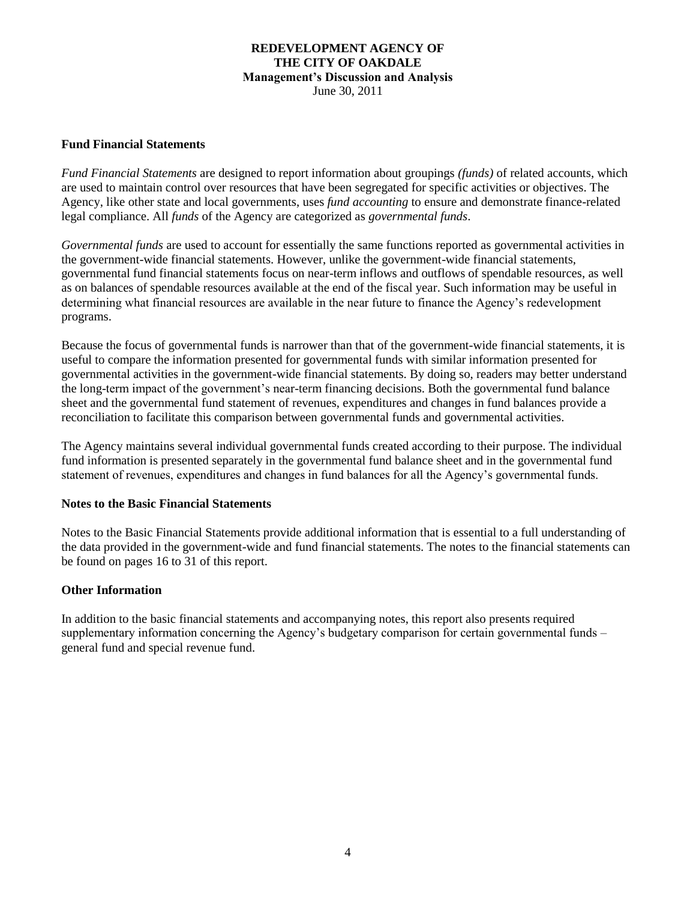### **REDEVELOPMENT AGENCY OF THE CITY OF OAKDALE Management's Discussion and Analysis** June 30, 2011

# **Fund Financial Statements**

*Fund Financial Statements* are designed to report information about groupings *(funds)* of related accounts, which are used to maintain control over resources that have been segregated for specific activities or objectives. The Agency, like other state and local governments, uses *fund accounting* to ensure and demonstrate finance-related legal compliance. All *funds* of the Agency are categorized as *governmental funds*.

*Governmental funds* are used to account for essentially the same functions reported as governmental activities in the government-wide financial statements. However, unlike the government-wide financial statements, governmental fund financial statements focus on near-term inflows and outflows of spendable resources, as well as on balances of spendable resources available at the end of the fiscal year. Such information may be useful in determining what financial resources are available in the near future to finance the Agency's redevelopment programs.

Because the focus of governmental funds is narrower than that of the government-wide financial statements, it is useful to compare the information presented for governmental funds with similar information presented for governmental activities in the government-wide financial statements. By doing so, readers may better understand the long-term impact of the government's near-term financing decisions. Both the governmental fund balance sheet and the governmental fund statement of revenues, expenditures and changes in fund balances provide a reconciliation to facilitate this comparison between governmental funds and governmental activities.

The Agency maintains several individual governmental funds created according to their purpose. The individual fund information is presented separately in the governmental fund balance sheet and in the governmental fund statement of revenues, expenditures and changes in fund balances for all the Agency's governmental funds.

### **Notes to the Basic Financial Statements**

Notes to the Basic Financial Statements provide additional information that is essential to a full understanding of the data provided in the government-wide and fund financial statements. The notes to the financial statements can be found on pages 16 to 31 of this report.

### **Other Information**

In addition to the basic financial statements and accompanying notes, this report also presents required supplementary information concerning the Agency's budgetary comparison for certain governmental funds – general fund and special revenue fund.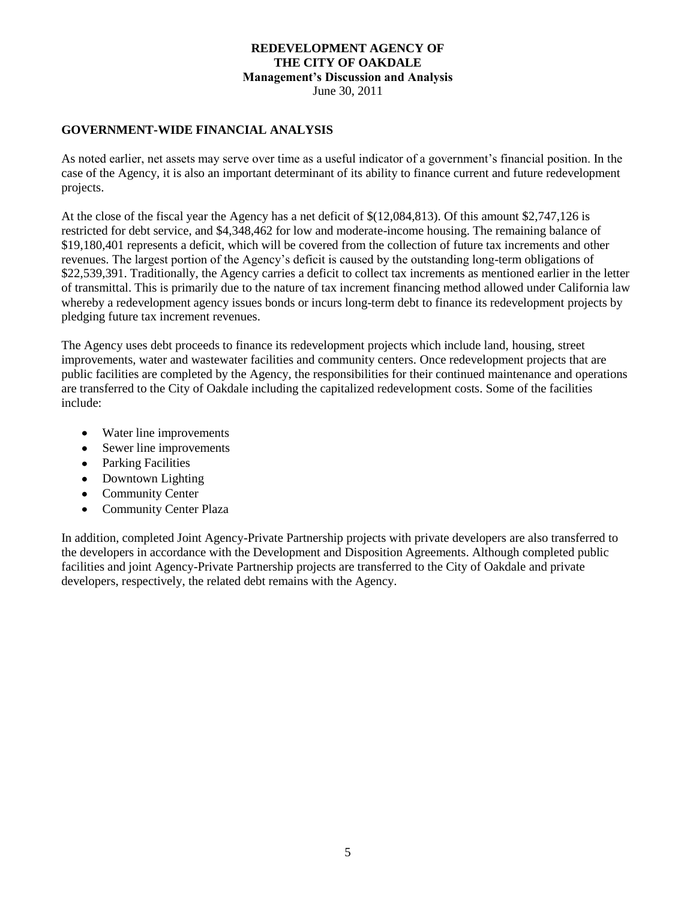### **REDEVELOPMENT AGENCY OF THE CITY OF OAKDALE Management's Discussion and Analysis** June 30, 2011

### **GOVERNMENT-WIDE FINANCIAL ANALYSIS**

As noted earlier, net assets may serve over time as a useful indicator of a government's financial position. In the case of the Agency, it is also an important determinant of its ability to finance current and future redevelopment projects.

At the close of the fiscal year the Agency has a net deficit of \$(12,084,813). Of this amount \$2,747,126 is restricted for debt service, and \$4,348,462 for low and moderate-income housing. The remaining balance of \$19,180,401 represents a deficit, which will be covered from the collection of future tax increments and other revenues. The largest portion of the Agency's deficit is caused by the outstanding long-term obligations of \$22,539,391. Traditionally, the Agency carries a deficit to collect tax increments as mentioned earlier in the letter of transmittal. This is primarily due to the nature of tax increment financing method allowed under California law whereby a redevelopment agency issues bonds or incurs long-term debt to finance its redevelopment projects by pledging future tax increment revenues.

The Agency uses debt proceeds to finance its redevelopment projects which include land, housing, street improvements, water and wastewater facilities and community centers. Once redevelopment projects that are public facilities are completed by the Agency, the responsibilities for their continued maintenance and operations are transferred to the City of Oakdale including the capitalized redevelopment costs. Some of the facilities include:

- Water line improvements  $\bullet$
- $\bullet$ Sewer line improvements
- Parking Facilities
- Downtown Lighting
- $\bullet$ Community Center
- $\bullet$ Community Center Plaza

In addition, completed Joint Agency-Private Partnership projects with private developers are also transferred to the developers in accordance with the Development and Disposition Agreements. Although completed public facilities and joint Agency-Private Partnership projects are transferred to the City of Oakdale and private developers, respectively, the related debt remains with the Agency.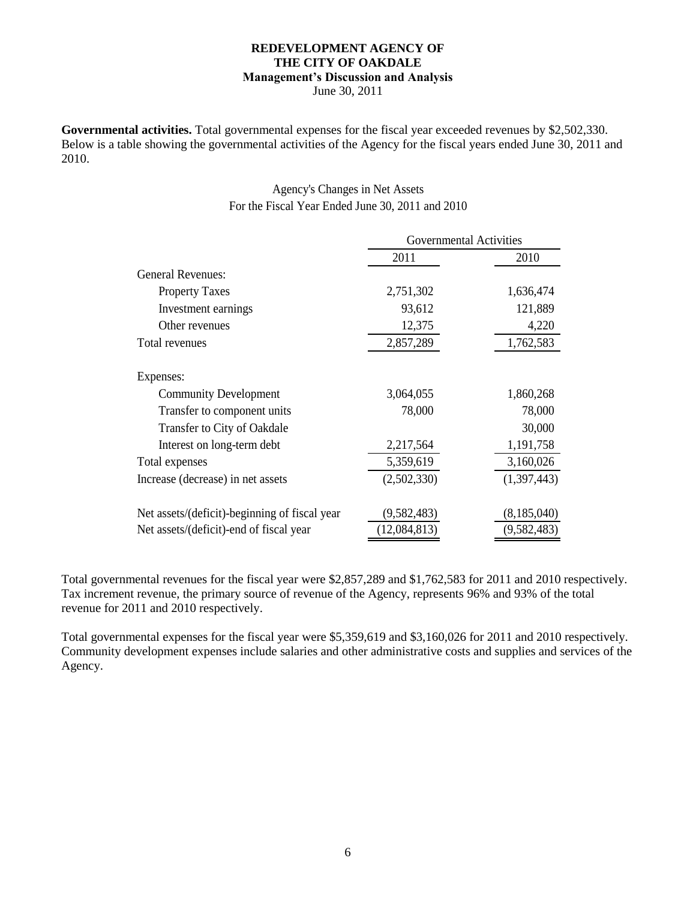# **REDEVELOPMENT AGENCY OF THE CITY OF OAKDALE Management's Discussion and Analysis**

June 30, 2011

**Governmental activities.** Total governmental expenses for the fiscal year exceeded revenues by \$2,502,330. Below is a table showing the governmental activities of the Agency for the fiscal years ended June 30, 2011 and 2010.

# Agency's Changes in Net Assets For the Fiscal Year Ended June 30, 2011 and 2010

|                                               | <b>Governmental Activities</b> |               |  |  |  |
|-----------------------------------------------|--------------------------------|---------------|--|--|--|
|                                               | 2011                           | 2010          |  |  |  |
| <b>General Revenues:</b>                      |                                |               |  |  |  |
| <b>Property Taxes</b>                         | 2,751,302                      | 1,636,474     |  |  |  |
| Investment earnings                           | 93,612                         | 121,889       |  |  |  |
| Other revenues                                | 12,375                         | 4,220         |  |  |  |
| Total revenues                                | 2,857,289                      | 1,762,583     |  |  |  |
| Expenses:                                     |                                |               |  |  |  |
| <b>Community Development</b>                  | 3,064,055                      | 1,860,268     |  |  |  |
| Transfer to component units                   | 78,000                         | 78,000        |  |  |  |
| Transfer to City of Oakdale                   |                                | 30,000        |  |  |  |
| Interest on long-term debt                    | 2,217,564                      | 1,191,758     |  |  |  |
| Total expenses                                | 5,359,619                      | 3,160,026     |  |  |  |
| Increase (decrease) in net assets             | (2,502,330)                    | (1,397,443)   |  |  |  |
| Net assets/(deficit)-beginning of fiscal year | (9, 582, 483)                  | (8, 185, 040) |  |  |  |
| Net assets/(deficit)-end of fiscal year       | (12,084,813)                   | (9,582,483)   |  |  |  |

Total governmental revenues for the fiscal year were \$2,857,289 and \$1,762,583 for 2011 and 2010 respectively. Tax increment revenue, the primary source of revenue of the Agency, represents 96% and 93% of the total revenue for 2011 and 2010 respectively.

Total governmental expenses for the fiscal year were \$5,359,619 and \$3,160,026 for 2011 and 2010 respectively. Community development expenses include salaries and other administrative costs and supplies and services of the Agency.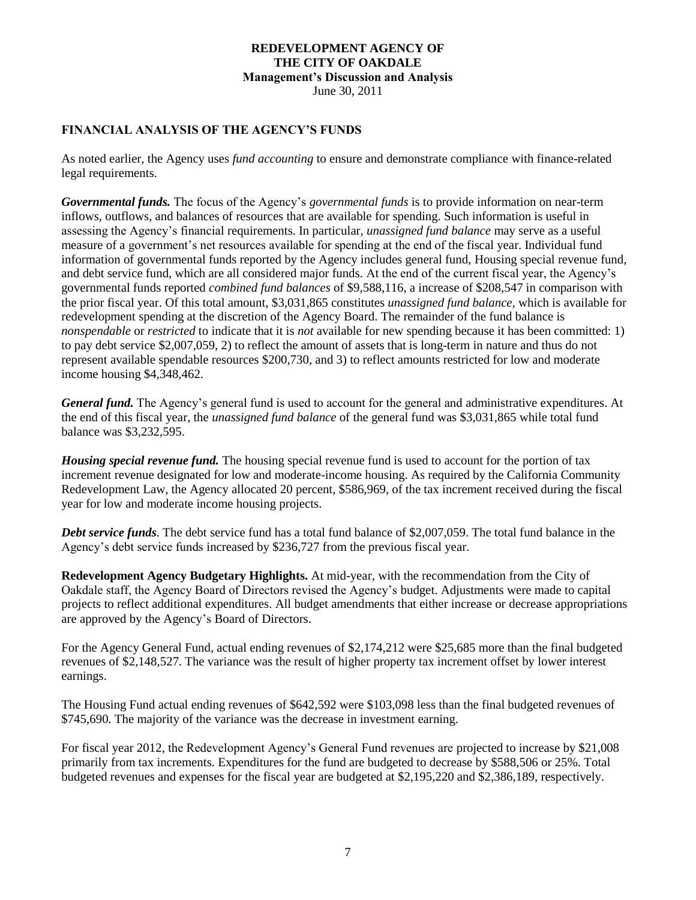### **REDEVELOPMENT AGENCY OF THE CITY OF OAKDALE Management's Discussion and Analysis** June 30, 2011

### **FINANCIAL ANALYSIS OF THE AGENCY'S FUNDS**

As noted earlier, the Agency uses *fund accounting* to ensure and demonstrate compliance with finance-related legal requirements.

*Governmental funds.* The focus of the Agency's *governmental funds* is to provide information on near-term inflows, outflows, and balances of resources that are available for spending. Such information is useful in assessing the Agency's financial requirements. In particular, *unassigned fund balance* may serve as a useful measure of a government's net resources available for spending at the end of the fiscal year. Individual fund information of governmental funds reported by the Agency includes general fund, Housing special revenue fund, and debt service fund, which are all considered major funds. At the end of the current fiscal year, the Agency's governmental funds reported *combined fund balances* of \$9,588,116, a increase of \$208,547 in comparison with the prior fiscal year. Of this total amount, \$3,031,865 constitutes *unassigned fund balance,* which is available for redevelopment spending at the discretion of the Agency Board. The remainder of the fund balance is *nonspendable* or *restricted* to indicate that it is *not* available for new spending because it has been committed: 1) to pay debt service \$2,007,059, 2) to reflect the amount of assets that is long-term in nature and thus do not represent available spendable resources \$200,730, and 3) to reflect amounts restricted for low and moderate income housing \$4,348,462.

*General fund.* The Agency's general fund is used to account for the general and administrative expenditures. At the end of this fiscal year, the *unassigned fund balance* of the general fund was \$3,031,865 while total fund balance was \$3,232,595.

*Housing special revenue fund.* The housing special revenue fund is used to account for the portion of tax increment revenue designated for low and moderate-income housing. As required by the California Community Redevelopment Law, the Agency allocated 20 percent, \$586,969, of the tax increment received during the fiscal year for low and moderate income housing projects.

*Debt service funds.* The debt service fund has a total fund balance of \$2,007,059. The total fund balance in the Agency's debt service funds increased by \$236,727 from the previous fiscal year.

**Redevelopment Agency Budgetary Highlights.** At mid-year, with the recommendation from the City of Oakdale staff, the Agency Board of Directors revised the Agency's budget. Adjustments were made to capital projects to reflect additional expenditures. All budget amendments that either increase or decrease appropriations are approved by the Agency's Board of Directors.

For the Agency General Fund, actual ending revenues of \$2,174,212 were \$25,685 more than the final budgeted revenues of \$2,148,527. The variance was the result of higher property tax increment offset by lower interest earnings.

The Housing Fund actual ending revenues of \$642,592 were \$103,098 less than the final budgeted revenues of \$745,690. The majority of the variance was the decrease in investment earning.

For fiscal year 2012, the Redevelopment Agency's General Fund revenues are projected to increase by \$21,008 primarily from tax increments. Expenditures for the fund are budgeted to decrease by \$588,506 or 25%. Total budgeted revenues and expenses for the fiscal year are budgeted at \$2,195,220 and \$2,386,189, respectively.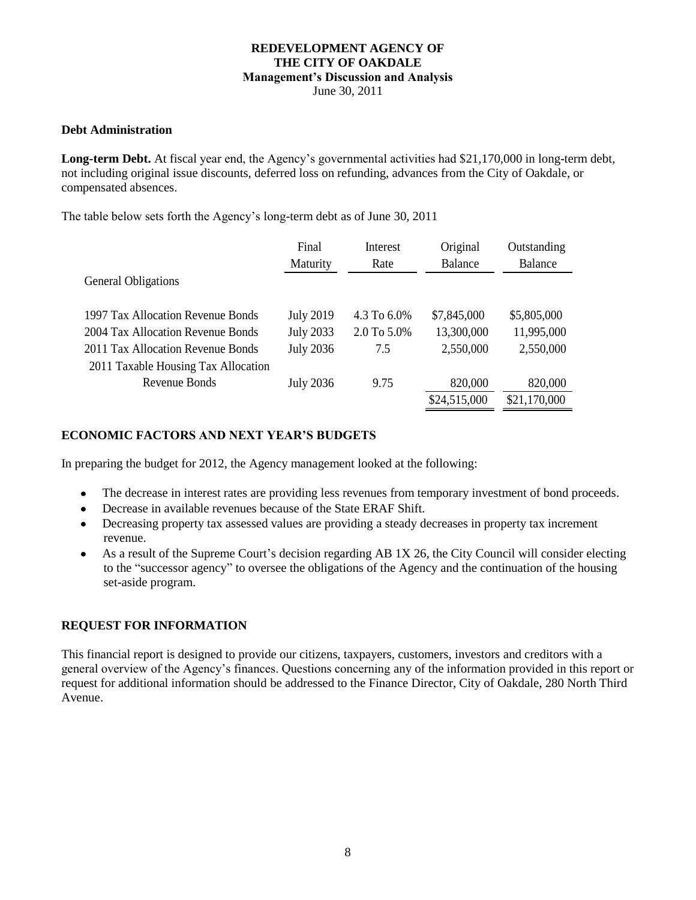### **REDEVELOPMENT AGENCY OF THE CITY OF OAKDALE Management's Discussion and Analysis** June 30, 2011

### **Debt Administration**

**Long-term Debt.** At fiscal year end, the Agency's governmental activities had \$21,170,000 in long-term debt, not including original issue discounts, deferred loss on refunding, advances from the City of Oakdale, or compensated absences.

The table below sets forth the Agency's long-term debt as of June 30, 2011

|                                     | Final            | Interest    | Original     | Outstanding    |
|-------------------------------------|------------------|-------------|--------------|----------------|
|                                     | Maturity         | Rate        | Balance      | <b>Balance</b> |
| <b>General Obligations</b>          |                  |             |              |                |
|                                     |                  |             |              |                |
| 1997 Tax Allocation Revenue Bonds   | <b>July 2019</b> | 4.3 To 6.0% | \$7,845,000  | \$5,805,000    |
| 2004 Tax Allocation Revenue Bonds   | <b>July 2033</b> | 2.0 To 5.0% | 13,300,000   | 11,995,000     |
| 2011 Tax Allocation Revenue Bonds   | <b>July 2036</b> | 7.5         | 2,550,000    | 2,550,000      |
| 2011 Taxable Housing Tax Allocation |                  |             |              |                |
| Revenue Bonds                       | <b>July 2036</b> | 9.75        | 820,000      | 820,000        |
|                                     |                  |             | \$24,515,000 | \$21,170,000   |

### **ECONOMIC FACTORS AND NEXT YEAR'S BUDGETS**

In preparing the budget for 2012, the Agency management looked at the following:

- $\bullet$ The decrease in interest rates are providing less revenues from temporary investment of bond proceeds.
- Decrease in available revenues because of the State ERAF Shift.
- Decreasing property tax assessed values are providing a steady decreases in property tax increment  $\bullet$ revenue.
- As a result of the Supreme Court's decision regarding AB 1X 26, the City Council will consider electing  $\bullet$ to the "successor agency" to oversee the obligations of the Agency and the continuation of the housing set-aside program.

### **REQUEST FOR INFORMATION**

This financial report is designed to provide our citizens, taxpayers, customers, investors and creditors with a general overview of the Agency's finances. Questions concerning any of the information provided in this report or request for additional information should be addressed to the Finance Director, City of Oakdale, 280 North Third Avenue.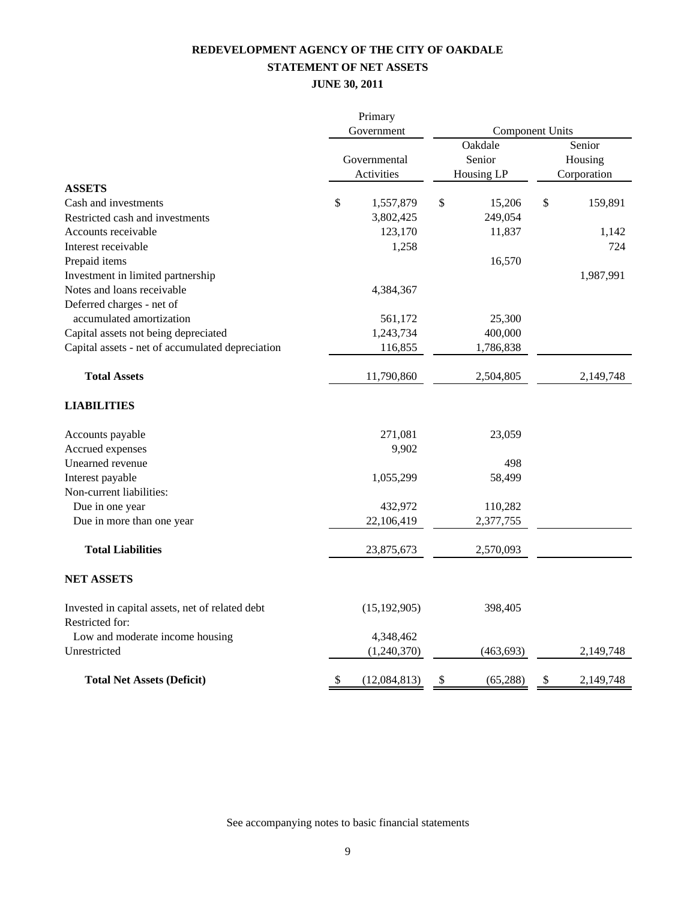# **REDEVELOPMENT AGENCY OF THE CITY OF OAKDALE STATEMENT OF NET ASSETS**

### **JUNE 30, 2011**

|                                                  |    | Primary                                  |                                                           |                                  |           |  |
|--------------------------------------------------|----|------------------------------------------|-----------------------------------------------------------|----------------------------------|-----------|--|
|                                                  |    | Government<br>Governmental<br>Activities | <b>Component Units</b><br>Oakdale<br>Senior<br>Housing LP | Senior<br>Housing<br>Corporation |           |  |
| <b>ASSETS</b>                                    |    |                                          |                                                           |                                  |           |  |
| Cash and investments                             | \$ | 1,557,879                                | \$<br>15,206                                              | \$                               | 159,891   |  |
| Restricted cash and investments                  |    | 3,802,425                                | 249,054                                                   |                                  |           |  |
| Accounts receivable                              |    | 123,170                                  | 11,837                                                    |                                  | 1,142     |  |
| Interest receivable                              |    | 1,258                                    |                                                           |                                  | 724       |  |
| Prepaid items                                    |    |                                          | 16,570                                                    |                                  |           |  |
| Investment in limited partnership                |    |                                          |                                                           |                                  | 1,987,991 |  |
| Notes and loans receivable.                      |    | 4,384,367                                |                                                           |                                  |           |  |
| Deferred charges - net of                        |    |                                          |                                                           |                                  |           |  |
| accumulated amortization                         |    | 561,172                                  | 25,300                                                    |                                  |           |  |
| Capital assets not being depreciated             |    | 1,243,734                                | 400,000                                                   |                                  |           |  |
| Capital assets - net of accumulated depreciation |    | 116,855                                  | 1,786,838                                                 |                                  |           |  |
| <b>Total Assets</b>                              |    | 11,790,860                               | 2,504,805                                                 |                                  | 2,149,748 |  |
| <b>LIABILITIES</b>                               |    |                                          |                                                           |                                  |           |  |
| Accounts payable                                 |    | 271,081                                  | 23,059                                                    |                                  |           |  |
| Accrued expenses                                 |    | 9,902                                    |                                                           |                                  |           |  |
| Unearned revenue                                 |    |                                          | 498                                                       |                                  |           |  |
| Interest payable                                 |    | 1,055,299                                | 58,499                                                    |                                  |           |  |
| Non-current liabilities:                         |    |                                          |                                                           |                                  |           |  |
| Due in one year                                  |    | 432,972                                  | 110,282                                                   |                                  |           |  |
| Due in more than one year                        |    | 22,106,419                               | 2,377,755                                                 |                                  |           |  |
| <b>Total Liabilities</b>                         |    | 23,875,673                               | 2,570,093                                                 |                                  |           |  |
| <b>NET ASSETS</b>                                |    |                                          |                                                           |                                  |           |  |
| Invested in capital assets, net of related debt  |    | (15, 192, 905)                           | 398,405                                                   |                                  |           |  |
| Restricted for:                                  |    |                                          |                                                           |                                  |           |  |
| Low and moderate income housing<br>Unrestricted  |    | 4,348,462<br>(1,240,370)                 | (463, 693)                                                |                                  | 2,149,748 |  |
|                                                  |    |                                          |                                                           |                                  |           |  |
| <b>Total Net Assets (Deficit)</b>                | \$ | (12,084,813)                             | \$<br>(65, 288)                                           | \$                               | 2,149,748 |  |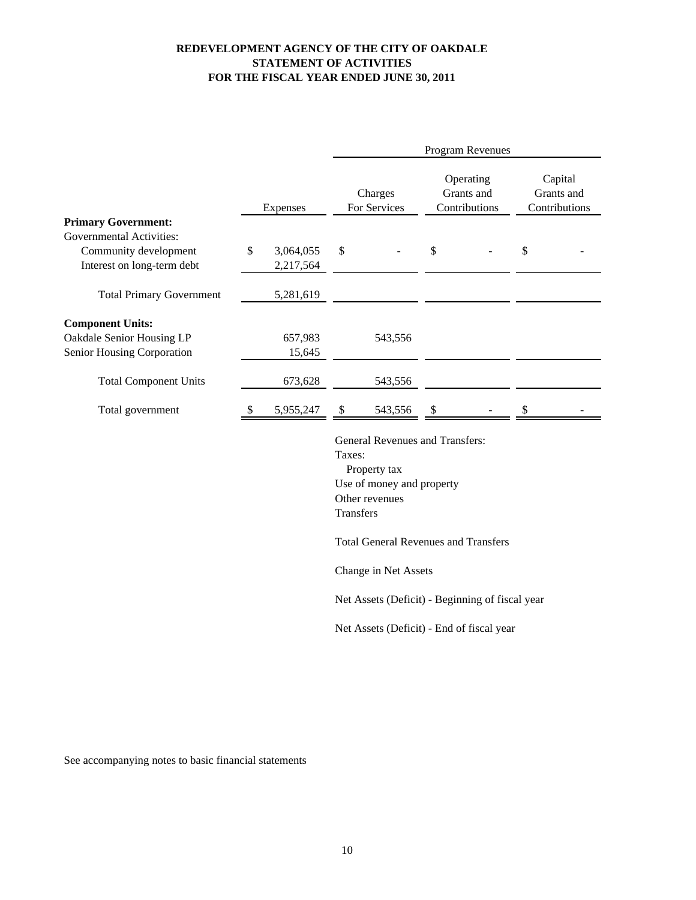### **REDEVELOPMENT AGENCY OF THE CITY OF OAKDALE STATEMENT OF ACTIVITIES FOR THE FISCAL YEAR ENDED JUNE 30, 2011**

|                                                     |               |                        | Program Revenues                                                                                                             |                                                 |    |                                          |                                        |  |  |
|-----------------------------------------------------|---------------|------------------------|------------------------------------------------------------------------------------------------------------------------------|-------------------------------------------------|----|------------------------------------------|----------------------------------------|--|--|
|                                                     | Expenses      |                        |                                                                                                                              | Charges<br>For Services                         |    | Operating<br>Grants and<br>Contributions | Capital<br>Grants and<br>Contributions |  |  |
| <b>Primary Government:</b>                          |               |                        |                                                                                                                              |                                                 |    |                                          |                                        |  |  |
| <b>Governmental Activities:</b>                     |               |                        |                                                                                                                              |                                                 |    |                                          |                                        |  |  |
| Community development<br>Interest on long-term debt | \$            | 3,064,055<br>2,217,564 | \$                                                                                                                           |                                                 | \$ |                                          | \$                                     |  |  |
| <b>Total Primary Government</b>                     |               | 5,281,619              |                                                                                                                              |                                                 |    |                                          |                                        |  |  |
| <b>Component Units:</b>                             |               |                        |                                                                                                                              |                                                 |    |                                          |                                        |  |  |
| Oakdale Senior Housing LP                           |               | 657,983                |                                                                                                                              | 543,556                                         |    |                                          |                                        |  |  |
| Senior Housing Corporation                          |               | 15,645                 |                                                                                                                              |                                                 |    |                                          |                                        |  |  |
| <b>Total Component Units</b>                        |               | 673,628                |                                                                                                                              | 543,556                                         |    |                                          |                                        |  |  |
| Total government                                    | <sup>\$</sup> | 5,955,247              | \$                                                                                                                           | 543,556                                         | \$ |                                          | \$                                     |  |  |
|                                                     |               |                        | General Revenues and Transfers:<br>Taxes:<br>Property tax<br>Use of money and property<br>Other revenues<br><b>Transfers</b> |                                                 |    |                                          |                                        |  |  |
|                                                     |               |                        |                                                                                                                              | <b>Total General Revenues and Transfers</b>     |    |                                          |                                        |  |  |
|                                                     |               |                        |                                                                                                                              | Change in Net Assets                            |    |                                          |                                        |  |  |
|                                                     |               |                        |                                                                                                                              | Net Assets (Deficit) - Beginning of fiscal year |    |                                          |                                        |  |  |
|                                                     |               |                        |                                                                                                                              | Net Assets (Deficit) - End of fiscal year       |    |                                          |                                        |  |  |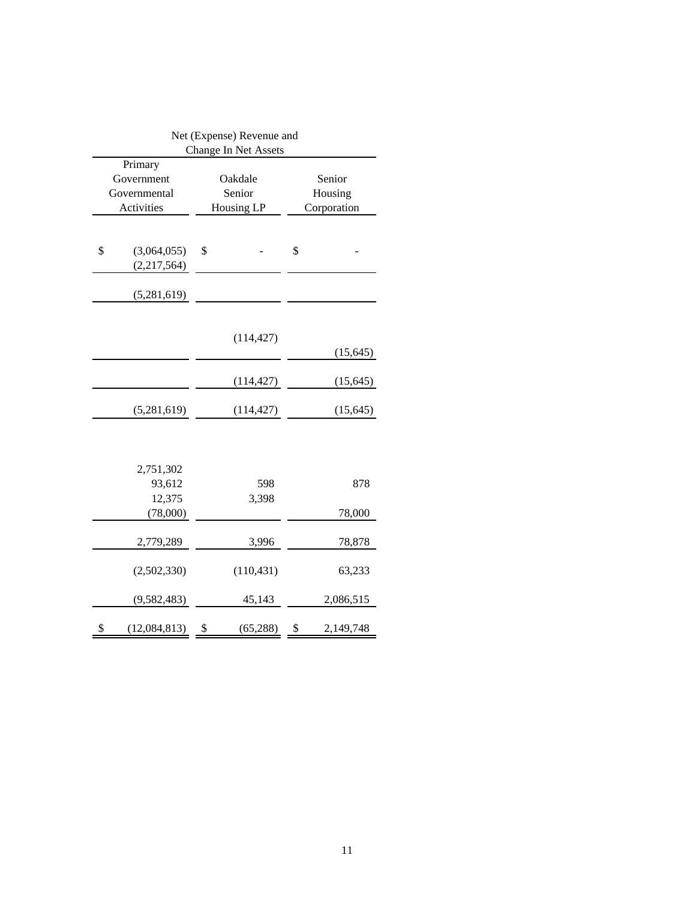| Net (Expense) Revenue and |               |    |                      |           |             |  |  |  |
|---------------------------|---------------|----|----------------------|-----------|-------------|--|--|--|
|                           |               |    | Change In Net Assets |           |             |  |  |  |
|                           | Primary       |    |                      |           |             |  |  |  |
|                           | Government    |    | Oakdale              | Senior    |             |  |  |  |
|                           | Governmental  |    | Senior               |           | Housing     |  |  |  |
|                           | Activities    |    | Housing LP           |           | Corporation |  |  |  |
|                           |               |    |                      |           |             |  |  |  |
|                           |               |    |                      |           |             |  |  |  |
| \$                        | (3,064,055)   | \$ |                      | \$        |             |  |  |  |
|                           | (2,217,564)   |    |                      |           |             |  |  |  |
|                           |               |    |                      |           |             |  |  |  |
|                           | (5,281,619)   |    |                      |           |             |  |  |  |
|                           |               |    |                      |           |             |  |  |  |
|                           |               |    |                      |           |             |  |  |  |
|                           |               |    | (114, 427)           |           |             |  |  |  |
|                           |               |    |                      |           | (15, 645)   |  |  |  |
|                           |               |    |                      |           |             |  |  |  |
|                           |               |    | (114, 427)           | (15, 645) |             |  |  |  |
|                           |               |    |                      |           |             |  |  |  |
|                           | (5,281,619)   |    | (114, 427)           |           | (15, 645)   |  |  |  |
|                           |               |    |                      |           |             |  |  |  |
|                           |               |    |                      |           |             |  |  |  |
|                           |               |    |                      |           |             |  |  |  |
|                           | 2,751,302     |    |                      |           |             |  |  |  |
|                           | 93,612        |    | 598                  |           | 878         |  |  |  |
|                           | 12,375        |    | 3,398                |           |             |  |  |  |
|                           | (78,000)      |    |                      |           | 78,000      |  |  |  |
|                           |               |    |                      |           |             |  |  |  |
|                           | 2,779,289     |    | 3,996                |           | 78,878      |  |  |  |
|                           |               |    |                      |           |             |  |  |  |
|                           | (2,502,330)   |    | (110, 431)           |           | 63,233      |  |  |  |
|                           |               |    |                      |           |             |  |  |  |
|                           | (9, 582, 483) |    | 45,143               |           | 2,086,515   |  |  |  |
|                           |               |    |                      |           |             |  |  |  |
| \$                        | (12,084,813)  | \$ | (65,288)             | \$        | 2,149,748   |  |  |  |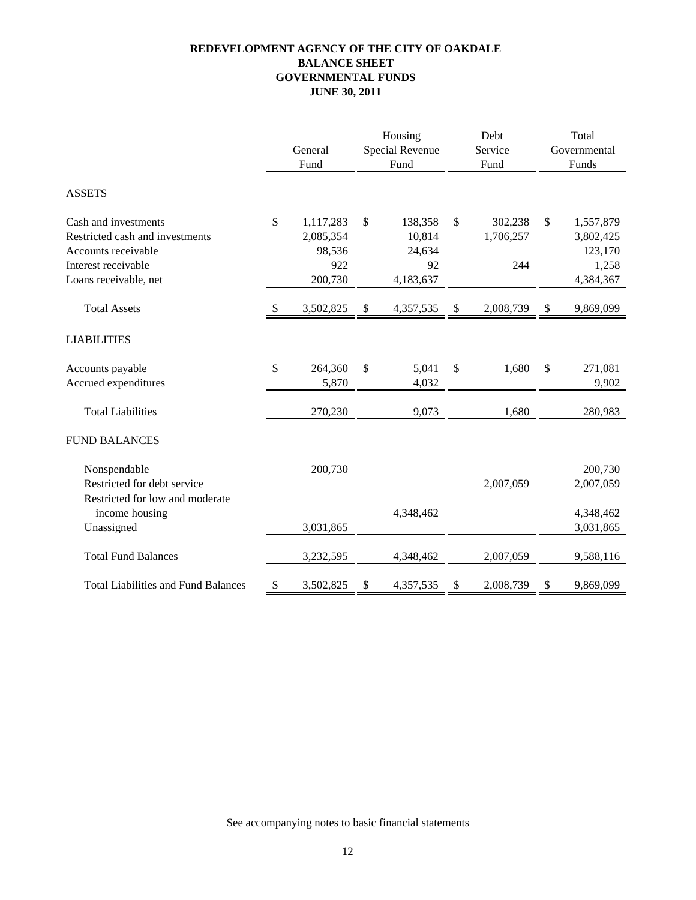### **REDEVELOPMENT AGENCY OF THE CITY OF OAKDALE GOVERNMENTAL FUNDS BALANCE SHEET JUNE 30, 2011**

|                                            |                           |           | Housing |                        |    | Debt      | Total        |           |  |
|--------------------------------------------|---------------------------|-----------|---------|------------------------|----|-----------|--------------|-----------|--|
|                                            |                           | General   |         | <b>Special Revenue</b> |    | Service   | Governmental |           |  |
|                                            |                           | Fund      |         | Fund                   |    | Fund      |              | Funds     |  |
| <b>ASSETS</b>                              |                           |           |         |                        |    |           |              |           |  |
| Cash and investments                       | \$                        | 1,117,283 | \$      | 138,358                | \$ | 302,238   | \$           | 1,557,879 |  |
| Restricted cash and investments            |                           | 2,085,354 |         | 10,814                 |    | 1,706,257 |              | 3,802,425 |  |
| Accounts receivable                        |                           | 98,536    |         | 24,634                 |    |           |              | 123,170   |  |
| Interest receivable                        |                           | 922       |         | 92                     |    | 244       |              | 1,258     |  |
| Loans receivable, net                      |                           | 200,730   |         | 4,183,637              |    |           |              | 4,384,367 |  |
| <b>Total Assets</b>                        | $\boldsymbol{\mathsf{S}}$ | 3,502,825 | \$      | 4,357,535              | \$ | 2,008,739 | \$           | 9,869,099 |  |
| <b>LIABILITIES</b>                         |                           |           |         |                        |    |           |              |           |  |
| Accounts payable                           | \$                        | 264,360   | \$      | 5,041                  | \$ | 1,680     | \$           | 271,081   |  |
| Accrued expenditures                       |                           | 5,870     |         | 4,032                  |    |           |              | 9,902     |  |
| <b>Total Liabilities</b>                   |                           | 270,230   |         | 9,073                  |    | 1,680     |              | 280,983   |  |
| <b>FUND BALANCES</b>                       |                           |           |         |                        |    |           |              |           |  |
| Nonspendable                               |                           | 200,730   |         |                        |    |           |              | 200,730   |  |
| Restricted for debt service                |                           |           |         |                        |    | 2,007,059 |              | 2,007,059 |  |
| Restricted for low and moderate            |                           |           |         |                        |    |           |              |           |  |
| income housing                             |                           |           |         | 4,348,462              |    |           |              | 4,348,462 |  |
| Unassigned                                 |                           | 3,031,865 |         |                        |    |           |              | 3,031,865 |  |
| <b>Total Fund Balances</b>                 |                           | 3,232,595 |         | 4,348,462              |    | 2,007,059 |              | 9,588,116 |  |
| <b>Total Liabilities and Fund Balances</b> | \$                        | 3,502,825 | \$      | 4,357,535              | \$ | 2,008,739 | \$           | 9,869,099 |  |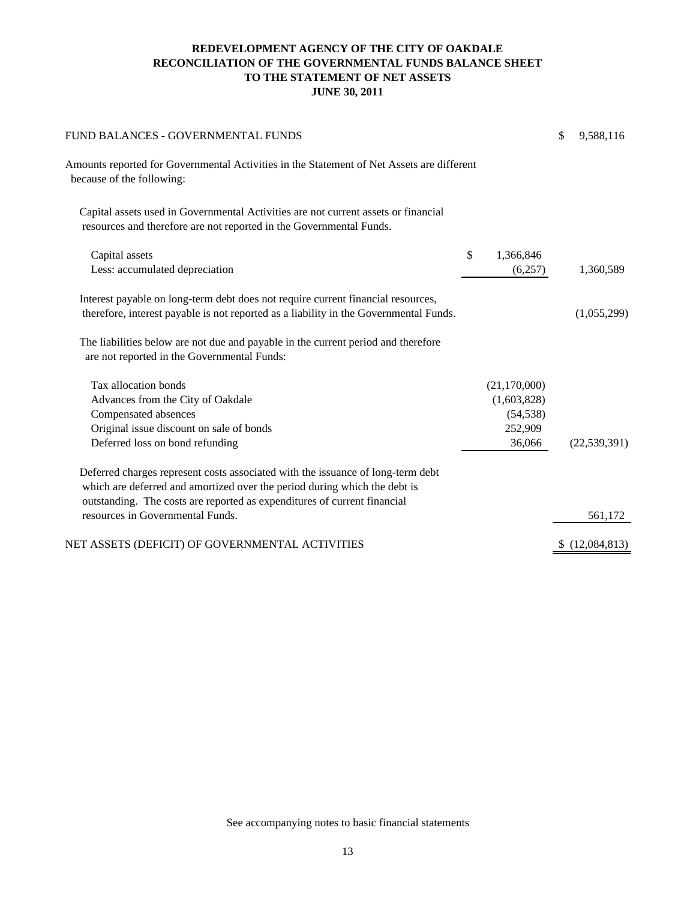### **REDEVELOPMENT AGENCY OF THE CITY OF OAKDALE RECONCILIATION OF THE GOVERNMENTAL FUNDS BALANCE SHEET TO THE STATEMENT OF NET ASSETS JUNE 30, 2011**

| FUND BALANCES - GOVERNMENTAL FUNDS                                                                                                                                                                                                       |                 | \$<br>9,588,116 |
|------------------------------------------------------------------------------------------------------------------------------------------------------------------------------------------------------------------------------------------|-----------------|-----------------|
| Amounts reported for Governmental Activities in the Statement of Net Assets are different<br>because of the following:                                                                                                                   |                 |                 |
| Capital assets used in Governmental Activities are not current assets or financial<br>resources and therefore are not reported in the Governmental Funds.                                                                                |                 |                 |
| Capital assets                                                                                                                                                                                                                           | \$<br>1,366,846 |                 |
| Less: accumulated depreciation                                                                                                                                                                                                           | (6,257)         | 1,360,589       |
| Interest payable on long-term debt does not require current financial resources,<br>therefore, interest payable is not reported as a liability in the Governmental Funds.                                                                |                 | (1,055,299)     |
| The liabilities below are not due and payable in the current period and therefore<br>are not reported in the Governmental Funds:                                                                                                         |                 |                 |
| Tax allocation bonds                                                                                                                                                                                                                     | (21,170,000)    |                 |
| Advances from the City of Oakdale                                                                                                                                                                                                        | (1,603,828)     |                 |
| Compensated absences                                                                                                                                                                                                                     | (54, 538)       |                 |
| Original issue discount on sale of bonds                                                                                                                                                                                                 | 252,909         |                 |
| Deferred loss on bond refunding                                                                                                                                                                                                          | 36,066          | (22, 539, 391)  |
| Deferred charges represent costs associated with the issuance of long-term debt<br>which are deferred and amortized over the period during which the debt is<br>outstanding. The costs are reported as expenditures of current financial |                 |                 |
| resources in Governmental Funds.                                                                                                                                                                                                         |                 | 561,172         |
| NET ASSETS (DEFICIT) OF GOVERNMENTAL ACTIVITIES                                                                                                                                                                                          |                 | \$(12,084,813)  |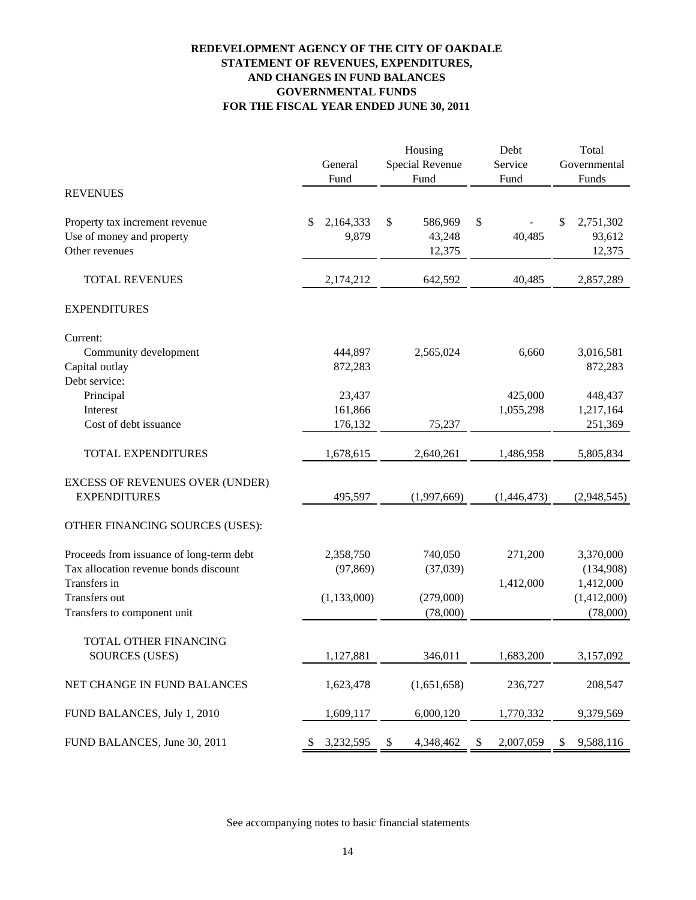### **REDEVELOPMENT AGENCY OF THE CITY OF OAKDALE GOVERNMENTAL FUNDS AND CHANGES IN FUND BALANCES FOR THE FISCAL YEAR ENDED JUNE 30, 2011 STATEMENT OF REVENUES, EXPENDITURES,**

|                                                                                   | General<br>Fund          | Housing<br>Special Revenue<br>Fund | Debt<br>Service<br>Fund | Total<br>Governmental<br>Funds       |
|-----------------------------------------------------------------------------------|--------------------------|------------------------------------|-------------------------|--------------------------------------|
| <b>REVENUES</b>                                                                   |                          |                                    |                         |                                      |
| Property tax increment revenue<br>Use of money and property<br>Other revenues     | 2,164,333<br>\$<br>9,879 | \$<br>586,969<br>43,248<br>12,375  | \$<br>40,485            | 2,751,302<br>\$<br>93,612<br>12,375  |
| <b>TOTAL REVENUES</b>                                                             | 2,174,212                | 642,592                            | 40,485                  | 2,857,289                            |
| <b>EXPENDITURES</b>                                                               |                          |                                    |                         |                                      |
| Current:                                                                          |                          |                                    |                         |                                      |
| Community development<br>Capital outlay<br>Debt service:                          | 444,897<br>872,283       | 2,565,024                          | 6,660                   | 3,016,581<br>872,283                 |
| Principal                                                                         | 23,437                   |                                    | 425,000                 | 448,437                              |
| Interest                                                                          | 161,866                  |                                    | 1,055,298               | 1,217,164                            |
| Cost of debt issuance                                                             | 176,132                  | 75,237                             |                         | 251,369                              |
| <b>TOTAL EXPENDITURES</b>                                                         | 1,678,615                | 2,640,261                          | 1,486,958               | 5,805,834                            |
| <b>EXCESS OF REVENUES OVER (UNDER)</b><br><b>EXPENDITURES</b>                     | 495,597                  | (1,997,669)                        | (1,446,473)             | (2,948,545)                          |
| OTHER FINANCING SOURCES (USES):                                                   |                          |                                    |                         |                                      |
| Proceeds from issuance of long-term debt<br>Tax allocation revenue bonds discount | 2,358,750<br>(97, 869)   | 740,050<br>(37,039)                | 271,200                 | 3,370,000<br>(134,908)               |
| Transfers in<br>Transfers out<br>Transfers to component unit                      | (1, 133, 000)            | (279,000)<br>(78,000)              | 1,412,000               | 1,412,000<br>(1,412,000)<br>(78,000) |
| <b>TOTAL OTHER FINANCING</b>                                                      |                          |                                    |                         |                                      |
| <b>SOURCES (USES)</b>                                                             | 1,127,881                | 346,011                            | 1,683,200               | 3,157,092                            |
| NET CHANGE IN FUND BALANCES                                                       | 1,623,478                | (1,651,658)                        | 236,727                 | 208,547                              |
| FUND BALANCES, July 1, 2010                                                       | 1,609,117                | 6,000,120                          | 1,770,332               | 9,379,569                            |
| FUND BALANCES, June 30, 2011                                                      | 3,232,595<br>S.          | \$<br>4,348,462                    | 2,007,059<br>\$         | 9,588,116<br>\$                      |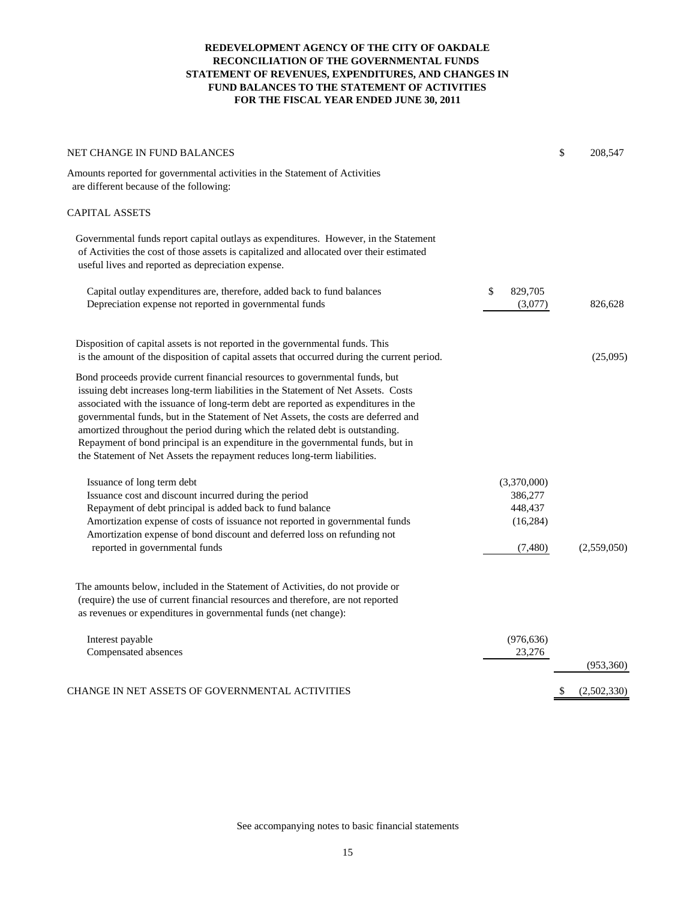#### **REDEVELOPMENT AGENCY OF THE CITY OF OAKDALE RECONCILIATION OF THE GOVERNMENTAL FUNDS STATEMENT OF REVENUES, EXPENDITURES, AND CHANGES IN FUND BALANCES TO THE STATEMENT OF ACTIVITIES FOR THE FISCAL YEAR ENDED JUNE 30, 2011**

| NET CHANGE IN FUND BALANCES                                                                                                                                                                                                                                                                                                                                                                                                                                                                                                                                                                    |                                                           | \$<br>208,547     |
|------------------------------------------------------------------------------------------------------------------------------------------------------------------------------------------------------------------------------------------------------------------------------------------------------------------------------------------------------------------------------------------------------------------------------------------------------------------------------------------------------------------------------------------------------------------------------------------------|-----------------------------------------------------------|-------------------|
| Amounts reported for governmental activities in the Statement of Activities<br>are different because of the following:                                                                                                                                                                                                                                                                                                                                                                                                                                                                         |                                                           |                   |
| <b>CAPITAL ASSETS</b>                                                                                                                                                                                                                                                                                                                                                                                                                                                                                                                                                                          |                                                           |                   |
| Governmental funds report capital outlays as expenditures. However, in the Statement<br>of Activities the cost of those assets is capitalized and allocated over their estimated<br>useful lives and reported as depreciation expense.                                                                                                                                                                                                                                                                                                                                                         |                                                           |                   |
| Capital outlay expenditures are, therefore, added back to fund balances<br>Depreciation expense not reported in governmental funds                                                                                                                                                                                                                                                                                                                                                                                                                                                             | \$<br>829,705<br>(3,077)                                  | 826,628           |
| Disposition of capital assets is not reported in the governmental funds. This<br>is the amount of the disposition of capital assets that occurred during the current period.                                                                                                                                                                                                                                                                                                                                                                                                                   |                                                           | (25,095)          |
| Bond proceeds provide current financial resources to governmental funds, but<br>issuing debt increases long-term liabilities in the Statement of Net Assets. Costs<br>associated with the issuance of long-term debt are reported as expenditures in the<br>governmental funds, but in the Statement of Net Assets, the costs are deferred and<br>amortized throughout the period during which the related debt is outstanding.<br>Repayment of bond principal is an expenditure in the governmental funds, but in<br>the Statement of Net Assets the repayment reduces long-term liabilities. |                                                           |                   |
| Issuance of long term debt<br>Issuance cost and discount incurred during the period<br>Repayment of debt principal is added back to fund balance<br>Amortization expense of costs of issuance not reported in governmental funds<br>Amortization expense of bond discount and deferred loss on refunding not<br>reported in governmental funds                                                                                                                                                                                                                                                 | (3,370,000)<br>386,277<br>448,437<br>(16, 284)<br>(7,480) | (2,559,050)       |
| The amounts below, included in the Statement of Activities, do not provide or<br>(require) the use of current financial resources and therefore, are not reported<br>as revenues or expenditures in governmental funds (net change):                                                                                                                                                                                                                                                                                                                                                           |                                                           |                   |
| Interest payable<br>Compensated absences                                                                                                                                                                                                                                                                                                                                                                                                                                                                                                                                                       | (976, 636)<br>23,276                                      | (953,360)         |
| CHANGE IN NET ASSETS OF GOVERNMENTAL ACTIVITIES                                                                                                                                                                                                                                                                                                                                                                                                                                                                                                                                                |                                                           | \$<br>(2,502,330) |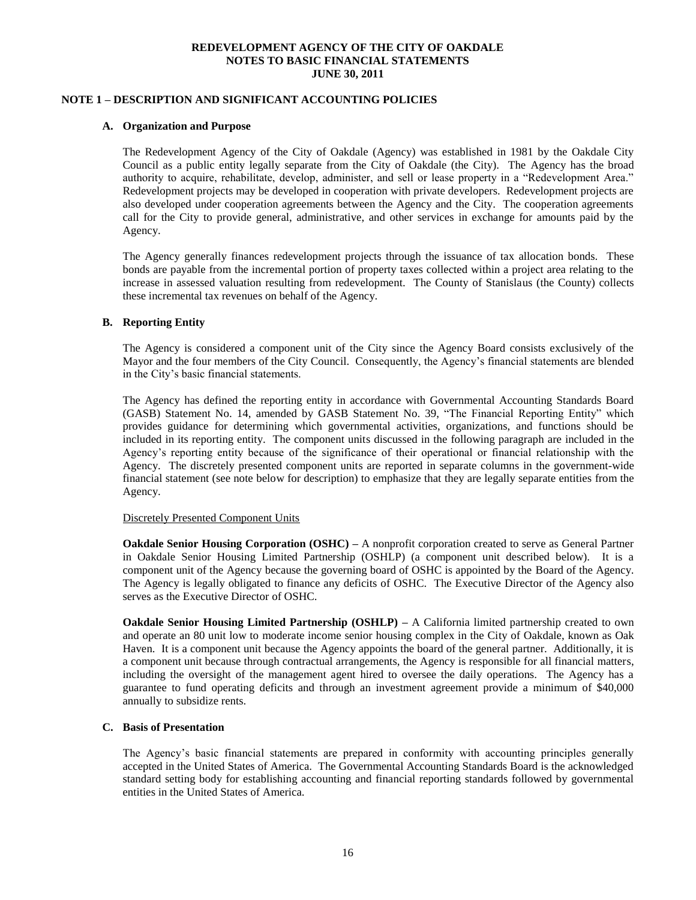### **NOTE 1 – DESCRIPTION AND SIGNIFICANT ACCOUNTING POLICIES**

#### **A. Organization and Purpose**

The Redevelopment Agency of the City of Oakdale (Agency) was established in 1981 by the Oakdale City Council as a public entity legally separate from the City of Oakdale (the City). The Agency has the broad authority to acquire, rehabilitate, develop, administer, and sell or lease property in a "Redevelopment Area." Redevelopment projects may be developed in cooperation with private developers. Redevelopment projects are also developed under cooperation agreements between the Agency and the City. The cooperation agreements call for the City to provide general, administrative, and other services in exchange for amounts paid by the Agency.

The Agency generally finances redevelopment projects through the issuance of tax allocation bonds. These bonds are payable from the incremental portion of property taxes collected within a project area relating to the increase in assessed valuation resulting from redevelopment. The County of Stanislaus (the County) collects these incremental tax revenues on behalf of the Agency.

#### **B. Reporting Entity**

The Agency is considered a component unit of the City since the Agency Board consists exclusively of the Mayor and the four members of the City Council. Consequently, the Agency's financial statements are blended in the City's basic financial statements.

The Agency has defined the reporting entity in accordance with Governmental Accounting Standards Board (GASB) Statement No. 14, amended by GASB Statement No. 39, "The Financial Reporting Entity" which provides guidance for determining which governmental activities, organizations, and functions should be included in its reporting entity. The component units discussed in the following paragraph are included in the Agency's reporting entity because of the significance of their operational or financial relationship with the Agency. The discretely presented component units are reported in separate columns in the government-wide financial statement (see note below for description) to emphasize that they are legally separate entities from the Agency.

#### Discretely Presented Component Units

**Oakdale Senior Housing Corporation (OSHC) –** A nonprofit corporation created to serve as General Partner in Oakdale Senior Housing Limited Partnership (OSHLP) (a component unit described below). It is a component unit of the Agency because the governing board of OSHC is appointed by the Board of the Agency. The Agency is legally obligated to finance any deficits of OSHC. The Executive Director of the Agency also serves as the Executive Director of OSHC.

**Oakdale Senior Housing Limited Partnership (OSHLP)** – A California limited partnership created to own and operate an 80 unit low to moderate income senior housing complex in the City of Oakdale, known as Oak Haven. It is a component unit because the Agency appoints the board of the general partner. Additionally, it is a component unit because through contractual arrangements, the Agency is responsible for all financial matters, including the oversight of the management agent hired to oversee the daily operations. The Agency has a guarantee to fund operating deficits and through an investment agreement provide a minimum of \$40,000 annually to subsidize rents.

#### **C. Basis of Presentation**

The Agency's basic financial statements are prepared in conformity with accounting principles generally accepted in the United States of America. The Governmental Accounting Standards Board is the acknowledged standard setting body for establishing accounting and financial reporting standards followed by governmental entities in the United States of America.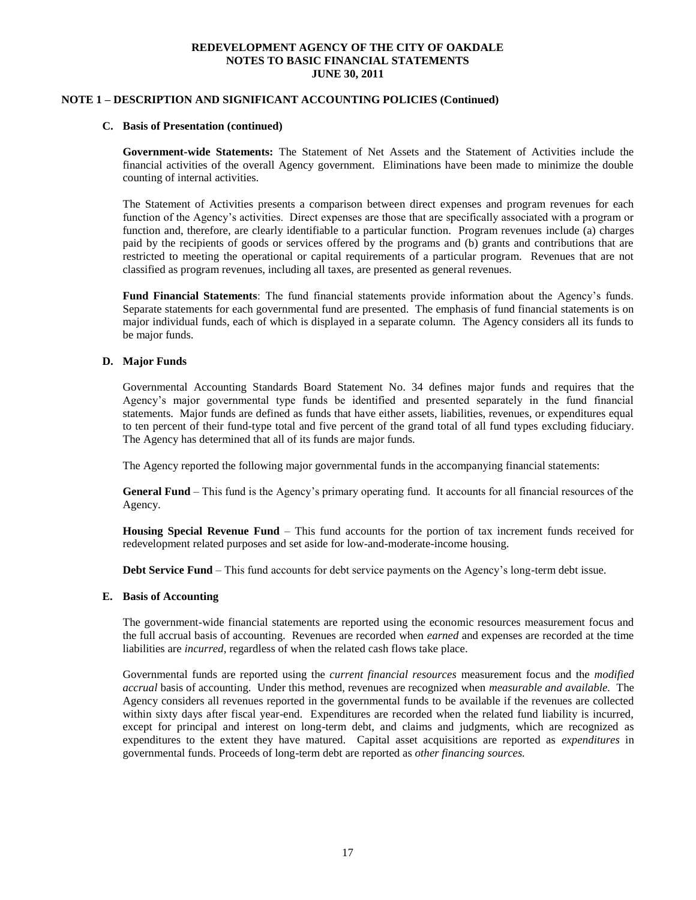### **NOTE 1 – DESCRIPTION AND SIGNIFICANT ACCOUNTING POLICIES (Continued)**

#### **C. Basis of Presentation (continued)**

**Government-wide Statements:** The Statement of Net Assets and the Statement of Activities include the financial activities of the overall Agency government. Eliminations have been made to minimize the double counting of internal activities.

The Statement of Activities presents a comparison between direct expenses and program revenues for each function of the Agency's activities. Direct expenses are those that are specifically associated with a program or function and, therefore, are clearly identifiable to a particular function. Program revenues include (a) charges paid by the recipients of goods or services offered by the programs and (b) grants and contributions that are restricted to meeting the operational or capital requirements of a particular program. Revenues that are not classified as program revenues, including all taxes, are presented as general revenues.

**Fund Financial Statements**: The fund financial statements provide information about the Agency's funds. Separate statements for each governmental fund are presented. The emphasis of fund financial statements is on major individual funds, each of which is displayed in a separate column. The Agency considers all its funds to be major funds.

#### **D. Major Funds**

Governmental Accounting Standards Board Statement No. 34 defines major funds and requires that the Agency's major governmental type funds be identified and presented separately in the fund financial statements. Major funds are defined as funds that have either assets, liabilities, revenues, or expenditures equal to ten percent of their fund-type total and five percent of the grand total of all fund types excluding fiduciary. The Agency has determined that all of its funds are major funds.

The Agency reported the following major governmental funds in the accompanying financial statements:

**General Fund** – This fund is the Agency's primary operating fund. It accounts for all financial resources of the Agency.

**Housing Special Revenue Fund** – This fund accounts for the portion of tax increment funds received for redevelopment related purposes and set aside for low-and-moderate-income housing.

**Debt Service Fund** – This fund accounts for debt service payments on the Agency's long-term debt issue.

#### **E. Basis of Accounting**

The government-wide financial statements are reported using the economic resources measurement focus and the full accrual basis of accounting. Revenues are recorded when *earned* and expenses are recorded at the time liabilities are *incurred*, regardless of when the related cash flows take place.

Governmental funds are reported using the *current financial resources* measurement focus and the *modified accrual* basis of accounting. Under this method, revenues are recognized when *measurable and available.* The Agency considers all revenues reported in the governmental funds to be available if the revenues are collected within sixty days after fiscal year-end. Expenditures are recorded when the related fund liability is incurred, except for principal and interest on long-term debt, and claims and judgments, which are recognized as expenditures to the extent they have matured. Capital asset acquisitions are reported as *expenditures* in governmental funds. Proceeds of long-term debt are reported as *other financing sources.*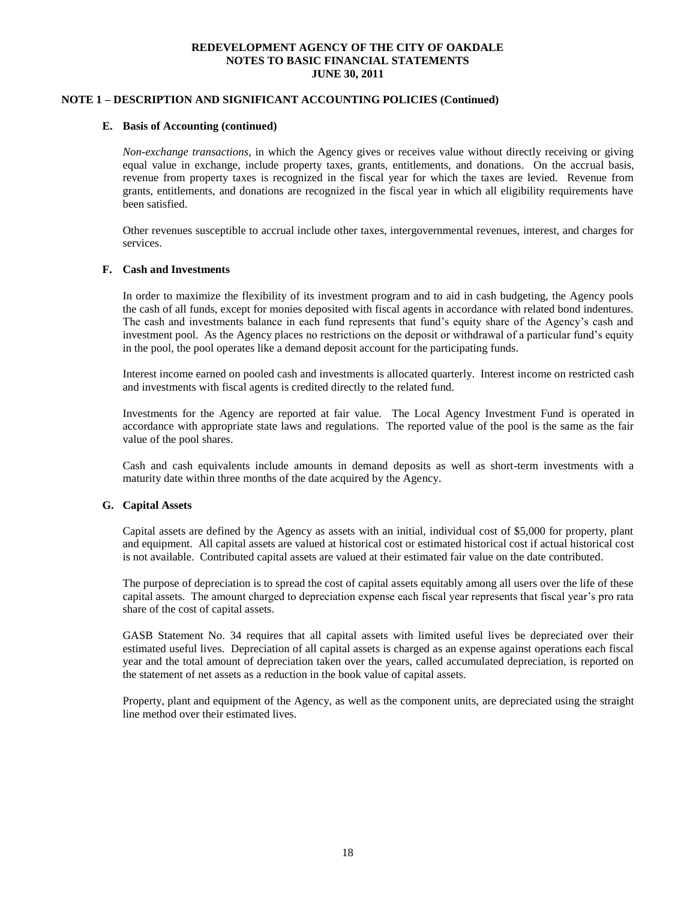### **NOTE 1 – DESCRIPTION AND SIGNIFICANT ACCOUNTING POLICIES (Continued)**

#### **E. Basis of Accounting (continued)**

*Non-exchange transactions*, in which the Agency gives or receives value without directly receiving or giving equal value in exchange, include property taxes, grants, entitlements, and donations. On the accrual basis, revenue from property taxes is recognized in the fiscal year for which the taxes are levied. Revenue from grants, entitlements, and donations are recognized in the fiscal year in which all eligibility requirements have been satisfied.

Other revenues susceptible to accrual include other taxes, intergovernmental revenues, interest, and charges for services.

#### **F. Cash and Investments**

In order to maximize the flexibility of its investment program and to aid in cash budgeting, the Agency pools the cash of all funds, except for monies deposited with fiscal agents in accordance with related bond indentures. The cash and investments balance in each fund represents that fund's equity share of the Agency's cash and investment pool. As the Agency places no restrictions on the deposit or withdrawal of a particular fund's equity in the pool, the pool operates like a demand deposit account for the participating funds.

Interest income earned on pooled cash and investments is allocated quarterly. Interest income on restricted cash and investments with fiscal agents is credited directly to the related fund.

Investments for the Agency are reported at fair value. The Local Agency Investment Fund is operated in accordance with appropriate state laws and regulations. The reported value of the pool is the same as the fair value of the pool shares.

Cash and cash equivalents include amounts in demand deposits as well as short-term investments with a maturity date within three months of the date acquired by the Agency.

#### **G. Capital Assets**

Capital assets are defined by the Agency as assets with an initial, individual cost of \$5,000 for property, plant and equipment. All capital assets are valued at historical cost or estimated historical cost if actual historical cost is not available. Contributed capital assets are valued at their estimated fair value on the date contributed.

The purpose of depreciation is to spread the cost of capital assets equitably among all users over the life of these capital assets. The amount charged to depreciation expense each fiscal year represents that fiscal year's pro rata share of the cost of capital assets.

GASB Statement No. 34 requires that all capital assets with limited useful lives be depreciated over their estimated useful lives. Depreciation of all capital assets is charged as an expense against operations each fiscal year and the total amount of depreciation taken over the years, called accumulated depreciation, is reported on the statement of net assets as a reduction in the book value of capital assets.

Property, plant and equipment of the Agency, as well as the component units, are depreciated using the straight line method over their estimated lives.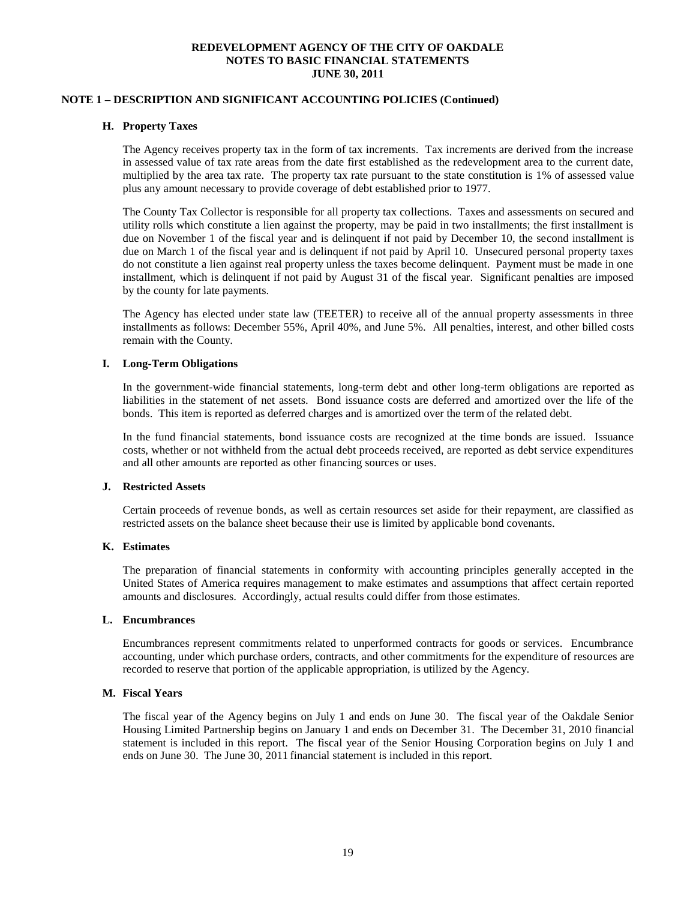### **NOTE 1 – DESCRIPTION AND SIGNIFICANT ACCOUNTING POLICIES (Continued)**

#### **H. Property Taxes**

The Agency receives property tax in the form of tax increments. Tax increments are derived from the increase in assessed value of tax rate areas from the date first established as the redevelopment area to the current date, multiplied by the area tax rate. The property tax rate pursuant to the state constitution is 1% of assessed value plus any amount necessary to provide coverage of debt established prior to 1977.

The County Tax Collector is responsible for all property tax collections. Taxes and assessments on secured and utility rolls which constitute a lien against the property, may be paid in two installments; the first installment is due on November 1 of the fiscal year and is delinquent if not paid by December 10, the second installment is due on March 1 of the fiscal year and is delinquent if not paid by April 10. Unsecured personal property taxes do not constitute a lien against real property unless the taxes become delinquent. Payment must be made in one installment, which is delinquent if not paid by August 31 of the fiscal year. Significant penalties are imposed by the county for late payments.

The Agency has elected under state law (TEETER) to receive all of the annual property assessments in three installments as follows: December 55%, April 40%, and June 5%. All penalties, interest, and other billed costs remain with the County.

#### **I. Long-Term Obligations**

In the government-wide financial statements, long-term debt and other long-term obligations are reported as liabilities in the statement of net assets. Bond issuance costs are deferred and amortized over the life of the bonds. This item is reported as deferred charges and is amortized over the term of the related debt.

In the fund financial statements, bond issuance costs are recognized at the time bonds are issued. Issuance costs, whether or not withheld from the actual debt proceeds received, are reported as debt service expenditures and all other amounts are reported as other financing sources or uses.

#### **J. Restricted Assets**

Certain proceeds of revenue bonds, as well as certain resources set aside for their repayment, are classified as restricted assets on the balance sheet because their use is limited by applicable bond covenants.

#### **K. Estimates**

The preparation of financial statements in conformity with accounting principles generally accepted in the United States of America requires management to make estimates and assumptions that affect certain reported amounts and disclosures. Accordingly, actual results could differ from those estimates.

#### **L. Encumbrances**

Encumbrances represent commitments related to unperformed contracts for goods or services. Encumbrance accounting, under which purchase orders, contracts, and other commitments for the expenditure of resources are recorded to reserve that portion of the applicable appropriation, is utilized by the Agency.

#### **M. Fiscal Years**

The fiscal year of the Agency begins on July 1 and ends on June 30. The fiscal year of the Oakdale Senior Housing Limited Partnership begins on January 1 and ends on December 31. The December 31, 2010 financial statement is included in this report. The fiscal year of the Senior Housing Corporation begins on July 1 and ends on June 30. The June 30, 2011 financial statement is included in this report.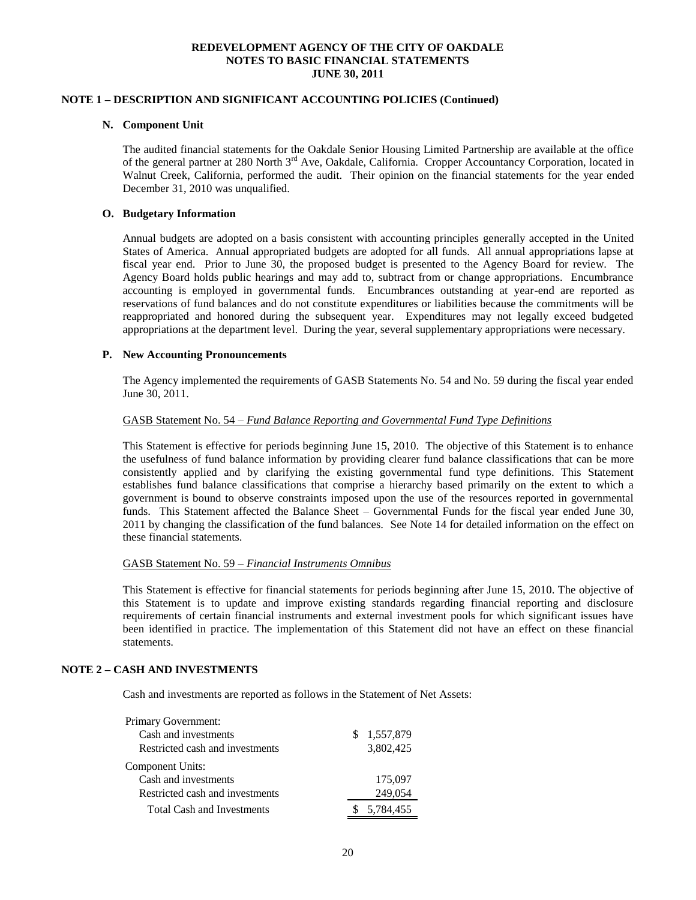### **NOTE 1 – DESCRIPTION AND SIGNIFICANT ACCOUNTING POLICIES (Continued)**

#### **N. Component Unit**

The audited financial statements for the Oakdale Senior Housing Limited Partnership are available at the office of the general partner at 280 North 3<sup>rd</sup> Ave, Oakdale, California. Cropper Accountancy Corporation, located in Walnut Creek, California, performed the audit. Their opinion on the financial statements for the year ended December 31, 2010 was unqualified.

#### **O. Budgetary Information**

Annual budgets are adopted on a basis consistent with accounting principles generally accepted in the United States of America. Annual appropriated budgets are adopted for all funds. All annual appropriations lapse at fiscal year end. Prior to June 30, the proposed budget is presented to the Agency Board for review. The Agency Board holds public hearings and may add to, subtract from or change appropriations. Encumbrance accounting is employed in governmental funds. Encumbrances outstanding at year-end are reported as reservations of fund balances and do not constitute expenditures or liabilities because the commitments will be reappropriated and honored during the subsequent year. Expenditures may not legally exceed budgeted appropriations at the department level. During the year, several supplementary appropriations were necessary.

#### **P. New Accounting Pronouncements**

The Agency implemented the requirements of GASB Statements No. 54 and No. 59 during the fiscal year ended June 30, 2011.

#### GASB Statement No. 54 – *Fund Balance Reporting and Governmental Fund Type Definitions*

This Statement is effective for periods beginning June 15, 2010. The objective of this Statement is to enhance the usefulness of fund balance information by providing clearer fund balance classifications that can be more consistently applied and by clarifying the existing governmental fund type definitions. This Statement establishes fund balance classifications that comprise a hierarchy based primarily on the extent to which a government is bound to observe constraints imposed upon the use of the resources reported in governmental funds. This Statement affected the Balance Sheet – Governmental Funds for the fiscal year ended June 30, 2011 by changing the classification of the fund balances. See Note 14 for detailed information on the effect on these financial statements.

#### GASB Statement No. 59 – *Financial Instruments Omnibus*

This Statement is effective for financial statements for periods beginning after June 15, 2010. The objective of this Statement is to update and improve existing standards regarding financial reporting and disclosure requirements of certain financial instruments and external investment pools for which significant issues have been identified in practice. The implementation of this Statement did not have an effect on these financial statements.

#### **NOTE 2 – CASH AND INVESTMENTS**

Cash and investments are reported as follows in the Statement of Net Assets:

| Primary Government:               |    |           |
|-----------------------------------|----|-----------|
| Cash and investments              | S. | 1,557,879 |
| Restricted cash and investments   |    | 3,802,425 |
| <b>Component Units:</b>           |    |           |
| Cash and investments              |    | 175,097   |
| Restricted cash and investments   |    | 249,054   |
| <b>Total Cash and Investments</b> |    | 5,784,455 |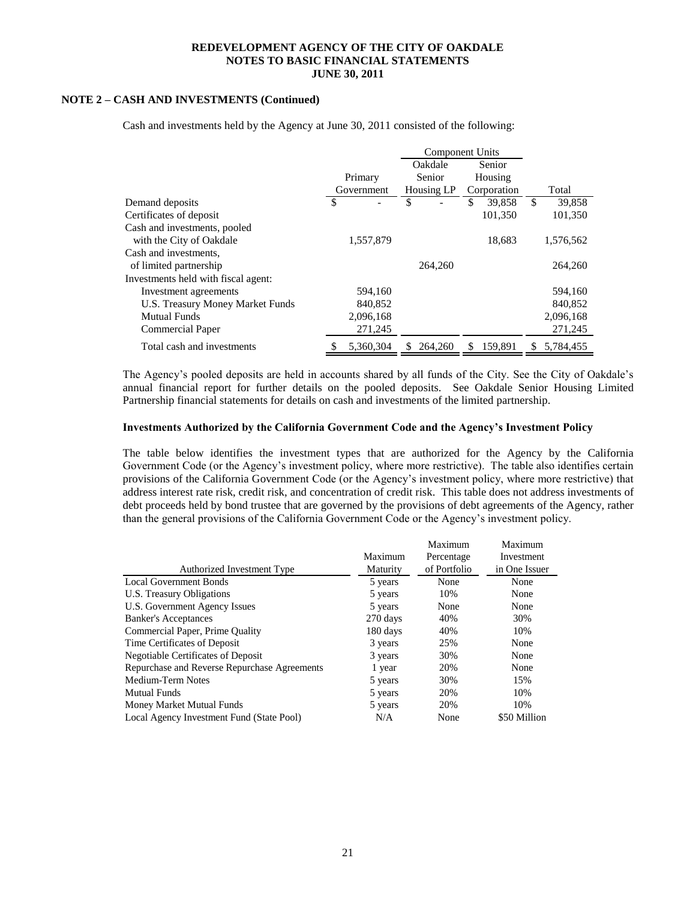### **NOTE 2 – CASH AND INVESTMENTS (Continued)**

|                                     |            | <b>Component Units</b> |               |             |         |    |           |
|-------------------------------------|------------|------------------------|---------------|-------------|---------|----|-----------|
|                                     |            | Oakdale<br>Senior      |               |             |         |    |           |
|                                     | Primary    |                        | <b>Senior</b> | Housing     |         |    |           |
|                                     | Government | Housing LP             |               | Corporation |         |    | Total     |
| Demand deposits                     | \$         | \$                     |               | S           | 39,858  | \$ | 39,858    |
| Certificates of deposit             |            |                        |               |             | 101.350 |    | 101.350   |
| Cash and investments, pooled        |            |                        |               |             |         |    |           |
| with the City of Oakdale            | 1.557.879  |                        |               |             | 18,683  |    | 1,576,562 |
| Cash and investments,               |            |                        |               |             |         |    |           |
| of limited partnership              |            |                        | 264,260       |             |         |    | 264,260   |
| Investments held with fiscal agent: |            |                        |               |             |         |    |           |
| Investment agreements               | 594,160    |                        |               |             |         |    | 594,160   |
| U.S. Treasury Money Market Funds    | 840,852    |                        |               |             |         |    | 840,852   |
| <b>Mutual Funds</b>                 | 2,096,168  |                        |               |             |         |    | 2,096,168 |
| <b>Commercial Paper</b>             | 271,245    |                        |               |             |         |    | 271,245   |
| Total cash and investments          | 5.360.304  | S.                     | 264,260       | \$.         | 159.891 | S. | 5,784,455 |

Cash and investments held by the Agency at June 30, 2011 consisted of the following:

The Agency's pooled deposits are held in accounts shared by all funds of the City. See the City of Oakdale's annual financial report for further details on the pooled deposits. See Oakdale Senior Housing Limited Partnership financial statements for details on cash and investments of the limited partnership.

#### **Investments Authorized by the California Government Code and the Agency's Investment Policy**

The table below identifies the investment types that are authorized for the Agency by the California Government Code (or the Agency's investment policy, where more restrictive). The table also identifies certain provisions of the California Government Code (or the Agency's investment policy, where more restrictive) that address interest rate risk, credit risk, and concentration of credit risk. This table does not address investments of debt proceeds held by bond trustee that are governed by the provisions of debt agreements of the Agency, rather than the general provisions of the California Government Code or the Agency's investment policy.

|                                              |          | Maximum      | Maximum       |
|----------------------------------------------|----------|--------------|---------------|
|                                              | Maximum  | Percentage   | Investment    |
| Authorized Investment Type                   | Maturity | of Portfolio | in One Issuer |
| <b>Local Government Bonds</b>                | 5 years  | None         | None          |
| U.S. Treasury Obligations                    | 5 years  | 10%          | None          |
| U.S. Government Agency Issues                | 5 years  | None         | None          |
| <b>Banker's Acceptances</b>                  | 270 days | 40%          | 30%           |
| Commercial Paper, Prime Quality              | 180 days | 40%          | 10%           |
| Time Certificates of Deposit                 | 3 years  | 25%          | None          |
| Negotiable Certificates of Deposit           | 3 years  | 30%          | None          |
| Repurchase and Reverse Repurchase Agreements | 1 year   | 20%          | None          |
| Medium-Term Notes                            | 5 years  | 30%          | 15%           |
| <b>Mutual Funds</b>                          | 5 years  | 20%          | 10%           |
| Money Market Mutual Funds                    | 5 years  | 20%          | 10%           |
| Local Agency Investment Fund (State Pool)    | N/A      | None         | \$50 Million  |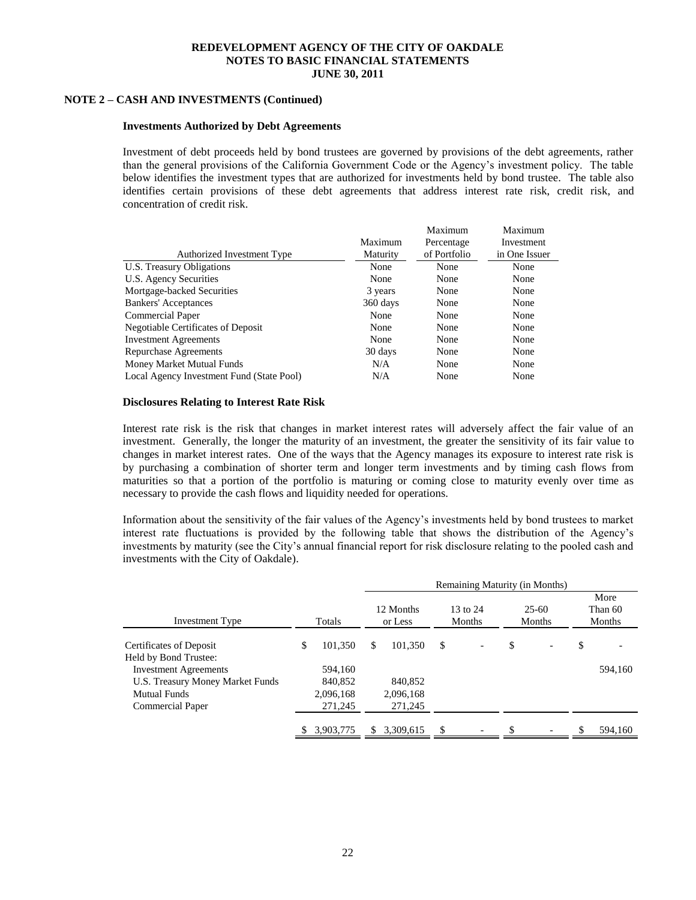### **NOTE 2 – CASH AND INVESTMENTS (Continued)**

#### **Investments Authorized by Debt Agreements**

Investment of debt proceeds held by bond trustees are governed by provisions of the debt agreements, rather than the general provisions of the California Government Code or the Agency's investment policy. The table below identifies the investment types that are authorized for investments held by bond trustee. The table also identifies certain provisions of these debt agreements that address interest rate risk, credit risk, and concentration of credit risk.

|                                           |          | Maximum      | Maximum       |
|-------------------------------------------|----------|--------------|---------------|
|                                           | Maximum  | Percentage   | Investment    |
| Authorized Investment Type                | Maturity | of Portfolio | in One Issuer |
| U.S. Treasury Obligations                 | None     | None         | None          |
| U.S. Agency Securities                    | None     | None         | None          |
| Mortgage-backed Securities                | 3 years  | None         | None          |
| <b>Bankers'</b> Acceptances               | 360 days | None         | None          |
| <b>Commercial Paper</b>                   | None     | None         | None          |
| Negotiable Certificates of Deposit        | None     | None         | None          |
| <b>Investment Agreements</b>              | None     | None         | None          |
| Repurchase Agreements                     | 30 days  | None         | None          |
| Money Market Mutual Funds                 | N/A      | None         | None          |
| Local Agency Investment Fund (State Pool) | N/A      | None         | None          |

#### **Disclosures Relating to Interest Rate Risk**

Interest rate risk is the risk that changes in market interest rates will adversely affect the fair value of an investment. Generally, the longer the maturity of an investment, the greater the sensitivity of its fair value to changes in market interest rates. One of the ways that the Agency manages its exposure to interest rate risk is by purchasing a combination of shorter term and longer term investments and by timing cash flows from maturities so that a portion of the portfolio is maturing or coming close to maturity evenly over time as necessary to provide the cash flows and liquidity needed for operations.

Information about the sensitivity of the fair values of the Agency's investments held by bond trustees to market interest rate fluctuations is provided by the following table that shows the distribution of the Agency's investments by maturity (see the City's annual financial report for risk disclosure relating to the pooled cash and investments with the City of Oakdale).

|                                                                                                             |    |                                            | Remaining Maturity (in Months) |                                 |                    |                          |                   |  |    |                           |
|-------------------------------------------------------------------------------------------------------------|----|--------------------------------------------|--------------------------------|---------------------------------|--------------------|--------------------------|-------------------|--|----|---------------------------|
| <b>Investment Type</b>                                                                                      |    | Totals                                     | 12 Months<br>or Less           |                                 | 13 to 24<br>Months |                          | $25-60$<br>Months |  |    | More<br>Than 60<br>Months |
| Certificates of Deposit<br>Held by Bond Trustee:                                                            | \$ | 101.350                                    | \$                             | 101,350                         | \$                 | $\overline{\phantom{a}}$ | \$                |  | \$ |                           |
| <b>Investment Agreements</b><br>U.S. Treasury Money Market Funds<br><b>Mutual Funds</b><br>Commercial Paper |    | 594.160<br>840,852<br>2,096,168<br>271,245 |                                | 840,852<br>2,096,168<br>271,245 |                    |                          |                   |  |    | 594,160                   |
|                                                                                                             |    | 3,903,775                                  | \$.                            | 3.309.615                       | <sup>\$</sup>      |                          | S.                |  | £. | 594,160                   |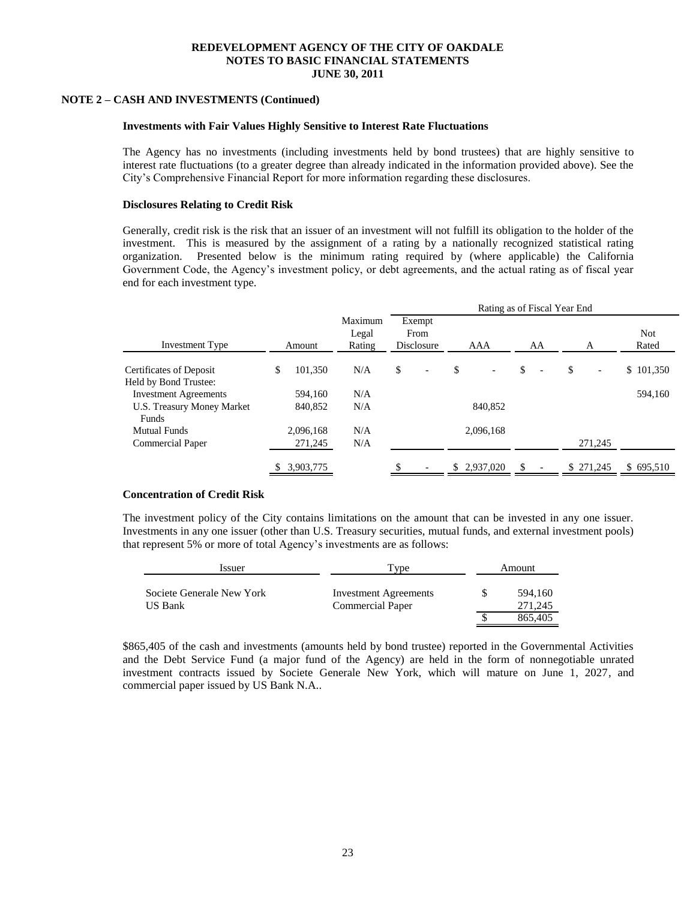#### **NOTE 2 – CASH AND INVESTMENTS (Continued)**

#### **Investments with Fair Values Highly Sensitive to Interest Rate Fluctuations**

The Agency has no investments (including investments held by bond trustees) that are highly sensitive to interest rate fluctuations (to a greater degree than already indicated in the information provided above). See the City's Comprehensive Financial Report for more information regarding these disclosures.

#### **Disclosures Relating to Credit Risk**

Generally, credit risk is the risk that an issuer of an investment will not fulfill its obligation to the holder of the investment. This is measured by the assignment of a rating by a nationally recognized statistical rating organization. Presented below is the minimum rating required by (where applicable) the California Government Code, the Agency's investment policy, or debt agreements, and the actual rating as of fiscal year end for each investment type.

|                                                       |               |                            | Rating as of Fiscal Year End   |              |                                |                                |                     |  |  |  |
|-------------------------------------------------------|---------------|----------------------------|--------------------------------|--------------|--------------------------------|--------------------------------|---------------------|--|--|--|
| <b>Investment Type</b>                                | Amount        | Maximum<br>Legal<br>Rating | Exempt<br>From<br>Disclosure   | AAA          | AA                             |                                | <b>Not</b><br>Rated |  |  |  |
| <b>Certificates of Deposit</b>                        | \$<br>101,350 | N/A                        | \$<br>$\overline{\phantom{0}}$ | \$           | \$<br>$\overline{\phantom{0}}$ | \$<br>$\overline{\phantom{a}}$ | \$101,350           |  |  |  |
| Held by Bond Trustee:<br><b>Investment Agreements</b> | 594,160       | N/A                        |                                |              |                                |                                | 594,160             |  |  |  |
| U.S. Treasury Money Market<br>Funds                   | 840,852       | N/A                        |                                | 840.852      |                                |                                |                     |  |  |  |
| <b>Mutual Funds</b>                                   | 2,096,168     | N/A                        |                                | 2,096,168    |                                |                                |                     |  |  |  |
| <b>Commercial Paper</b>                               | 271,245       | N/A                        |                                |              |                                | 271,245                        |                     |  |  |  |
|                                                       | 3,903,775     |                            |                                | \$ 2,937,020 |                                | \$ 271,245                     | \$695,510           |  |  |  |

#### **Concentration of Credit Risk**

The investment policy of the City contains limitations on the amount that can be invested in any one issuer. Investments in any one issuer (other than U.S. Treasury securities, mutual funds, and external investment pools) that represent 5% or more of total Agency's investments are as follows:

| Issuer                               | l'vpe                                                   | Amount             |
|--------------------------------------|---------------------------------------------------------|--------------------|
| Societe Generale New York<br>US Bank | <b>Investment Agreements</b><br><b>Commercial Paper</b> | 594.160<br>271.245 |
|                                      |                                                         | 865.405            |

\$865,405 of the cash and investments (amounts held by bond trustee) reported in the Governmental Activities and the Debt Service Fund (a major fund of the Agency) are held in the form of nonnegotiable unrated investment contracts issued by Societe Generale New York, which will mature on June 1, 2027, and commercial paper issued by US Bank N.A..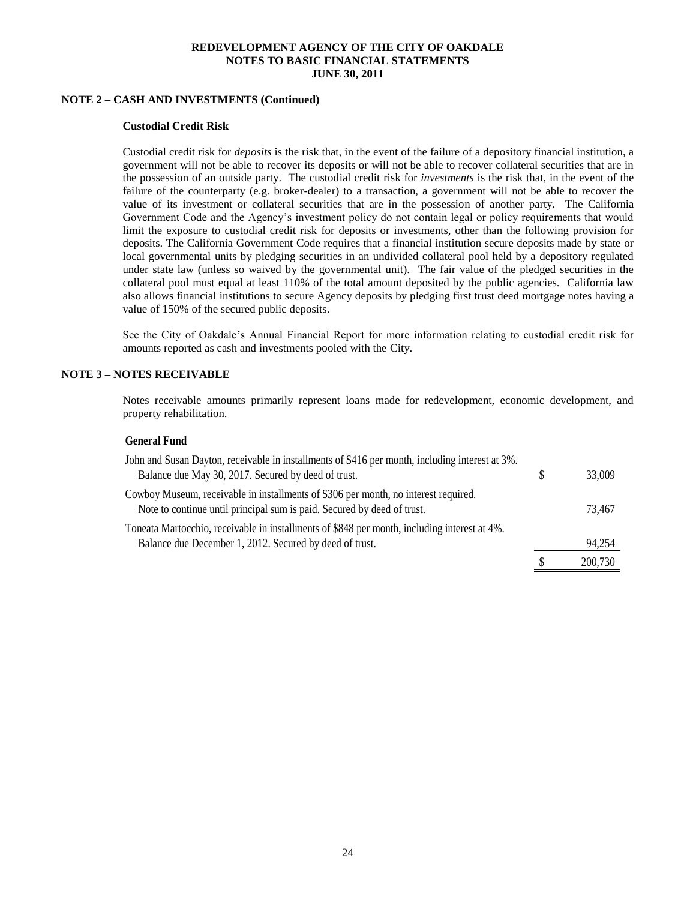### **NOTE 2 – CASH AND INVESTMENTS (Continued)**

#### **Custodial Credit Risk**

Custodial credit risk for *deposits* is the risk that, in the event of the failure of a depository financial institution, a government will not be able to recover its deposits or will not be able to recover collateral securities that are in the possession of an outside party. The custodial credit risk for *investments* is the risk that, in the event of the failure of the counterparty (e.g. broker-dealer) to a transaction, a government will not be able to recover the value of its investment or collateral securities that are in the possession of another party. The California Government Code and the Agency's investment policy do not contain legal or policy requirements that would limit the exposure to custodial credit risk for deposits or investments, other than the following provision for deposits. The California Government Code requires that a financial institution secure deposits made by state or local governmental units by pledging securities in an undivided collateral pool held by a depository regulated under state law (unless so waived by the governmental unit). The fair value of the pledged securities in the collateral pool must equal at least 110% of the total amount deposited by the public agencies. California law also allows financial institutions to secure Agency deposits by pledging first trust deed mortgage notes having a value of 150% of the secured public deposits.

See the City of Oakdale's Annual Financial Report for more information relating to custodial credit risk for amounts reported as cash and investments pooled with the City.

### **NOTE 3 – NOTES RECEIVABLE**

Notes receivable amounts primarily represent loans made for redevelopment, economic development, and property rehabilitation.

#### **General Fund**

| John and Susan Dayton, receivable in installments of \$416 per month, including interest at 3%.                                                                |         |
|----------------------------------------------------------------------------------------------------------------------------------------------------------------|---------|
| Balance due May 30, 2017. Secured by deed of trust.                                                                                                            | 33,009  |
| Cowboy Museum, receivable in installments of \$306 per month, no interest required.<br>Note to continue until principal sum is paid. Secured by deed of trust. | 73.467  |
| Toneata Martocchio, receivable in installments of \$848 per month, including interest at 4%.                                                                   |         |
| Balance due December 1, 2012. Secured by deed of trust.                                                                                                        | 94,254  |
|                                                                                                                                                                | 200,730 |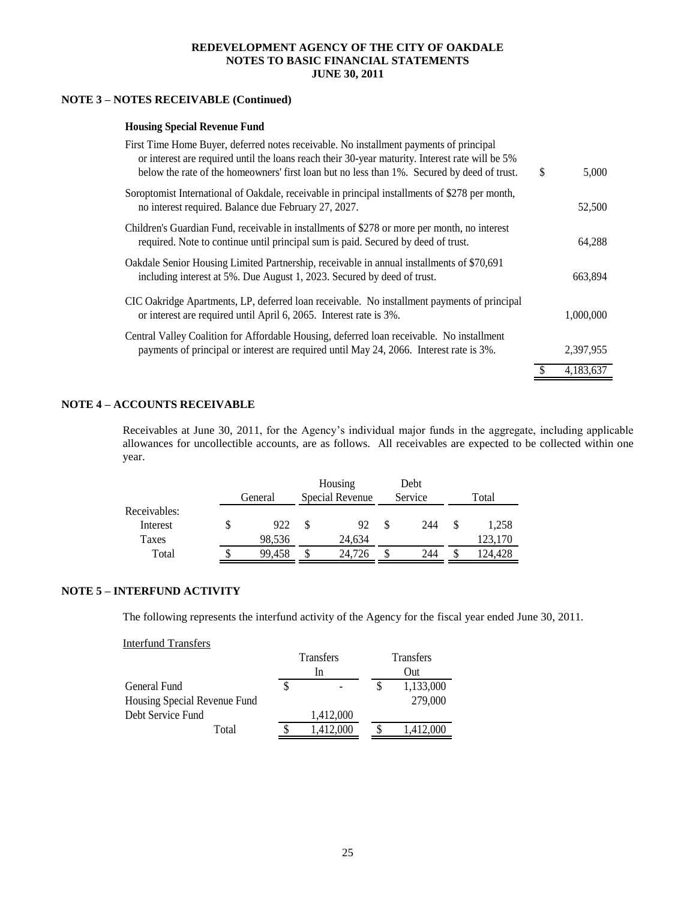### **NOTE 3 – NOTES RECEIVABLE (Continued)**

#### **Housing Special Revenue Fund**

| First Time Home Buyer, deferred notes receivable. No installment payments of principal<br>or interest are required until the loans reach their 30-year maturity. Interest rate will be 5%<br>below the rate of the homeowners' first loan but no less than 1%. Secured by deed of trust. | \$<br>5.000 |
|------------------------------------------------------------------------------------------------------------------------------------------------------------------------------------------------------------------------------------------------------------------------------------------|-------------|
| Soroptomist International of Oakdale, receivable in principal installments of \$278 per month,<br>no interest required. Balance due February 27, 2027.                                                                                                                                   | 52,500      |
| Children's Guardian Fund, receivable in installments of \$278 or more per month, no interest<br>required. Note to continue until principal sum is paid. Secured by deed of trust.                                                                                                        | 64.288      |
| Oakdale Senior Housing Limited Partnership, receivable in annual installments of \$70,691<br>including interest at 5%. Due August 1, 2023. Secured by deed of trust.                                                                                                                     | 663,894     |
| CIC Oakridge Apartments, LP, deferred loan receivable. No installment payments of principal<br>or interest are required until April 6, 2065. Interest rate is 3%.                                                                                                                        | 1.000.000   |
| Central Valley Coalition for Affordable Housing, deferred loan receivable. No installment<br>payments of principal or interest are required until May 24, 2066. Interest rate is 3%.                                                                                                     | 2,397,955   |
|                                                                                                                                                                                                                                                                                          | 4,183,637   |

#### **NOTE 4 – ACCOUNTS RECEIVABLE**

Receivables at June 30, 2011, for the Agency's individual major funds in the aggregate, including applicable allowances for uncollectible accounts, are as follows. All receivables are expected to be collected within one year.

|                   | General       | Housing<br>Special Revenue | Debt<br>Service |   | Total            |
|-------------------|---------------|----------------------------|-----------------|---|------------------|
| Receivables:      |               |                            |                 |   |                  |
| Interest<br>Taxes | 922<br>98,536 | 92<br>24,634               | 244             |   | 1.258<br>123,170 |
| Total             | 99.458        | \$<br>24.726               | 244             | S | 124.428          |

#### **NOTE 5 – INTERFUND ACTIVITY**

The following represents the interfund activity of the Agency for the fiscal year ended June 30, 2011.

Interfund Transfers

|                              | <b>Transfers</b> | <b>Transfers</b> |           |  |  |
|------------------------------|------------------|------------------|-----------|--|--|
|                              | In               |                  | Out       |  |  |
| General Fund                 |                  |                  | 1,133,000 |  |  |
| Housing Special Revenue Fund |                  |                  | 279,000   |  |  |
| Debt Service Fund            | 1,412,000        |                  |           |  |  |
| Total                        | 1,412,000        |                  | 1,412,000 |  |  |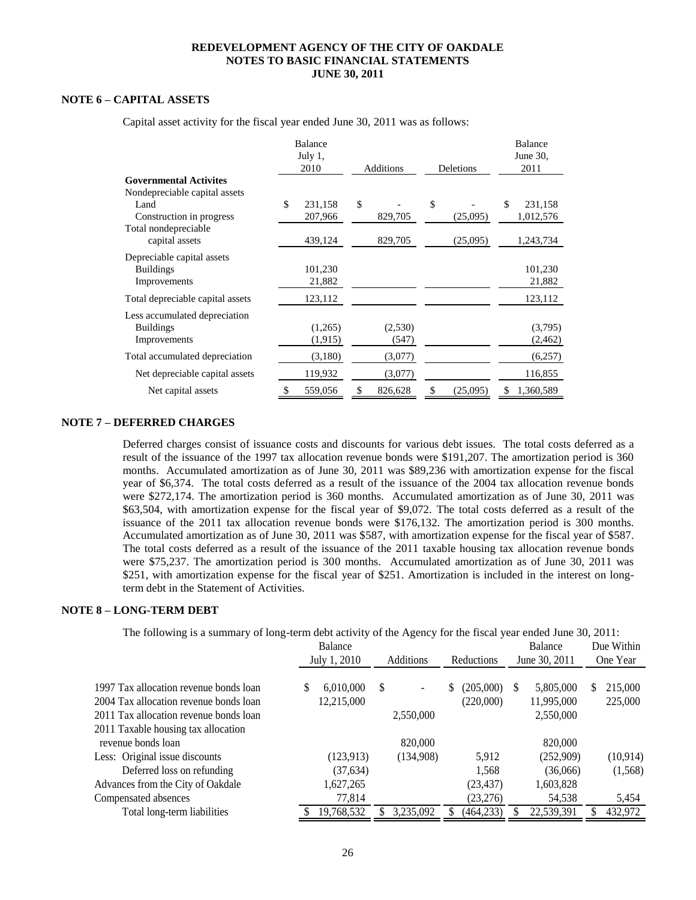### **NOTE 6 – CAPITAL ASSETS**

|                                  | Balance<br>July 1, |               |                |    | Balance<br>June 30, |
|----------------------------------|--------------------|---------------|----------------|----|---------------------|
|                                  | 2010               | Additions     | Deletions      |    | 2011                |
| <b>Governmental Activites</b>    |                    |               |                |    |                     |
| Nondepreciable capital assets    |                    |               |                |    |                     |
| Land                             | \$<br>231,158      | \$            | \$             | \$ | 231,158             |
| Construction in progress         | 207,966            | 829,705       | (25,095)       |    | 1,012,576           |
| Total nondepreciable             |                    |               |                |    |                     |
| capital assets                   | 439,124            | 829,705       | (25,095)       |    | 1,243,734           |
| Depreciable capital assets       |                    |               |                |    |                     |
| <b>Buildings</b>                 | 101,230            |               |                |    | 101,230             |
| Improvements                     | 21,882             |               |                |    | 21,882              |
|                                  |                    |               |                |    |                     |
| Total depreciable capital assets | 123,112            |               |                |    | 123,112             |
| Less accumulated depreciation    |                    |               |                |    |                     |
| <b>Buildings</b>                 | (1,265)            | (2,530)       |                |    | (3,795)             |
| Improvements                     | (1,915)            | (547)         |                |    | (2, 462)            |
| Total accumulated depreciation   | (3,180)            | (3,077)       |                |    | (6,257)             |
| Net depreciable capital assets   | 119,932            | (3,077)       |                |    | 116,855             |
| Net capital assets               | \$<br>559,056      | \$<br>826,628 | \$<br>(25,095) | S  | 1,360,589           |

Capital asset activity for the fiscal year ended June 30, 2011 was as follows:

#### **NOTE 7 – DEFERRED CHARGES**

Deferred charges consist of issuance costs and discounts for various debt issues. The total costs deferred as a result of the issuance of the 1997 tax allocation revenue bonds were \$191,207. The amortization period is 360 months. Accumulated amortization as of June 30, 2011 was \$89,236 with amortization expense for the fiscal year of \$6,374. The total costs deferred as a result of the issuance of the 2004 tax allocation revenue bonds were \$272,174. The amortization period is 360 months. Accumulated amortization as of June 30, 2011 was \$63,504, with amortization expense for the fiscal year of \$9,072. The total costs deferred as a result of the issuance of the 2011 tax allocation revenue bonds were \$176,132. The amortization period is 300 months. Accumulated amortization as of June 30, 2011 was \$587, with amortization expense for the fiscal year of \$587. The total costs deferred as a result of the issuance of the 2011 taxable housing tax allocation revenue bonds were \$75,237. The amortization period is 300 months. Accumulated amortization as of June 30, 2011 was \$251, with amortization expense for the fiscal year of \$251. Amortization is included in the interest on longterm debt in the Statement of Activities.

#### **NOTE 8 – LONG-TERM DEBT**

The following is a summary of long-term debt activity of the Agency for the fiscal year ended June 30, 2011:

|                                        | <b>Balance</b><br>July 1, 2010 |            | <b>Additions</b> | <b>Reductions</b> |    | Balance<br>June 30, 2011 |   | Due Within<br>One Year |   |           |
|----------------------------------------|--------------------------------|------------|------------------|-------------------|----|--------------------------|---|------------------------|---|-----------|
|                                        |                                |            |                  |                   |    |                          |   |                        |   |           |
| 1997 Tax allocation revenue bonds loan | S                              | 6,010,000  | S                | ٠                 | \$ | (205,000)                | S | 5,805,000              | S | 215,000   |
| 2004 Tax allocation revenue bonds loan |                                | 12,215,000 |                  |                   |    | (220,000)                |   | 11,995,000             |   | 225,000   |
| 2011 Tax allocation revenue bonds loan |                                |            |                  | 2,550,000         |    |                          |   | 2,550,000              |   |           |
| 2011 Taxable housing tax allocation    |                                |            |                  |                   |    |                          |   |                        |   |           |
| revenue bonds loan                     |                                |            |                  | 820,000           |    |                          |   | 820,000                |   |           |
| Less: Original issue discounts         |                                | (123, 913) |                  | (134,908)         |    | 5,912                    |   | (252,909)              |   | (10, 914) |
| Deferred loss on refunding             |                                | (37, 634)  |                  |                   |    | 1.568                    |   | (36,066)               |   | (1, 568)  |
| Advances from the City of Oakdale      |                                | 1,627,265  |                  |                   |    | (23, 437)                |   | 1,603,828              |   |           |
| Compensated absences                   |                                | 77,814     |                  |                   |    | (23,276)                 |   | 54,538                 |   | 5,454     |
| Total long-term liabilities            |                                | 19,768,532 |                  | 3,235,092         |    | (464,233)                |   | 22,539,391             |   | 432,972   |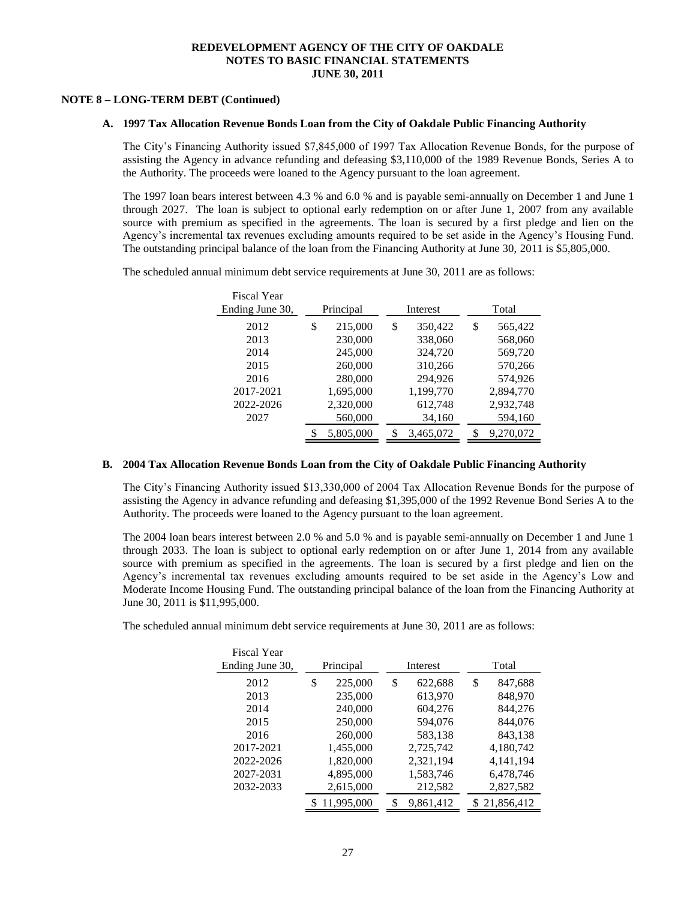#### **NOTE 8 – LONG-TERM DEBT (Continued)**

#### **A. 1997 Tax Allocation Revenue Bonds Loan from the City of Oakdale Public Financing Authority**

The City's Financing Authority issued \$7,845,000 of 1997 Tax Allocation Revenue Bonds, for the purpose of assisting the Agency in advance refunding and defeasing \$3,110,000 of the 1989 Revenue Bonds, Series A to the Authority. The proceeds were loaned to the Agency pursuant to the loan agreement.

The 1997 loan bears interest between 4.3 % and 6.0 % and is payable semi-annually on December 1 and June 1 through 2027. The loan is subject to optional early redemption on or after June 1, 2007 from any available source with premium as specified in the agreements. The loan is secured by a first pledge and lien on the Agency's incremental tax revenues excluding amounts required to be set aside in the Agency's Housing Fund. The outstanding principal balance of the loan from the Financing Authority at June 30, 2011 is \$5,805,000.

> Fiscal Year Ending June 30, Principal Interest Total 2012 \$ 215,000 \$ 350,422 \$ 565,422 2013 230,000 338,060 568,060 2014 245,000 324,720 569,720 2015 260,000 310,266 570,266 2016 280,000 294,926 574,926 2017-2021 1,695,000 1,199,770 2,894,770 2022-2026 2,320,000 612,748 2,932,748 2027 560,000 34,160 594,160 \$ 5,805,000 \$ 3,465,072 \$ 9,270,072

The scheduled annual minimum debt service requirements at June 30, 2011 are as follows:

#### **B. 2004 Tax Allocation Revenue Bonds Loan from the City of Oakdale Public Financing Authority**

The City's Financing Authority issued \$13,330,000 of 2004 Tax Allocation Revenue Bonds for the purpose of assisting the Agency in advance refunding and defeasing \$1,395,000 of the 1992 Revenue Bond Series A to the Authority. The proceeds were loaned to the Agency pursuant to the loan agreement.

The 2004 loan bears interest between 2.0 % and 5.0 % and is payable semi-annually on December 1 and June 1 through 2033. The loan is subject to optional early redemption on or after June 1, 2014 from any available source with premium as specified in the agreements. The loan is secured by a first pledge and lien on the Agency's incremental tax revenues excluding amounts required to be set aside in the Agency's Low and Moderate Income Housing Fund. The outstanding principal balance of the loan from the Financing Authority at June 30, 2011 is \$11,995,000.

The scheduled annual minimum debt service requirements at June 30, 2011 are as follows:

| <b>Fiscal Year</b> |               |                 |               |
|--------------------|---------------|-----------------|---------------|
| Ending June 30,    | Principal     | Interest        | Total         |
| 2012               | \$<br>225,000 | \$<br>622,688   | \$<br>847,688 |
| 2013               | 235,000       | 613,970         | 848,970       |
| 2014               | 240,000       | 604,276         | 844,276       |
| 2015               | 250,000       | 594,076         | 844,076       |
| 2016               | 260,000       | 583,138         | 843,138       |
| 2017-2021          | 1,455,000     | 2,725,742       | 4,180,742     |
| 2022-2026          | 1,820,000     | 2,321,194       | 4,141,194     |
| 2027-2031          | 4,895,000     | 1,583,746       | 6,478,746     |
| 2032-2033          | 2,615,000     | 212,582         | 2,827,582     |
|                    | 11,995,000    | 9,861,412<br>\$ | \$21,856,412  |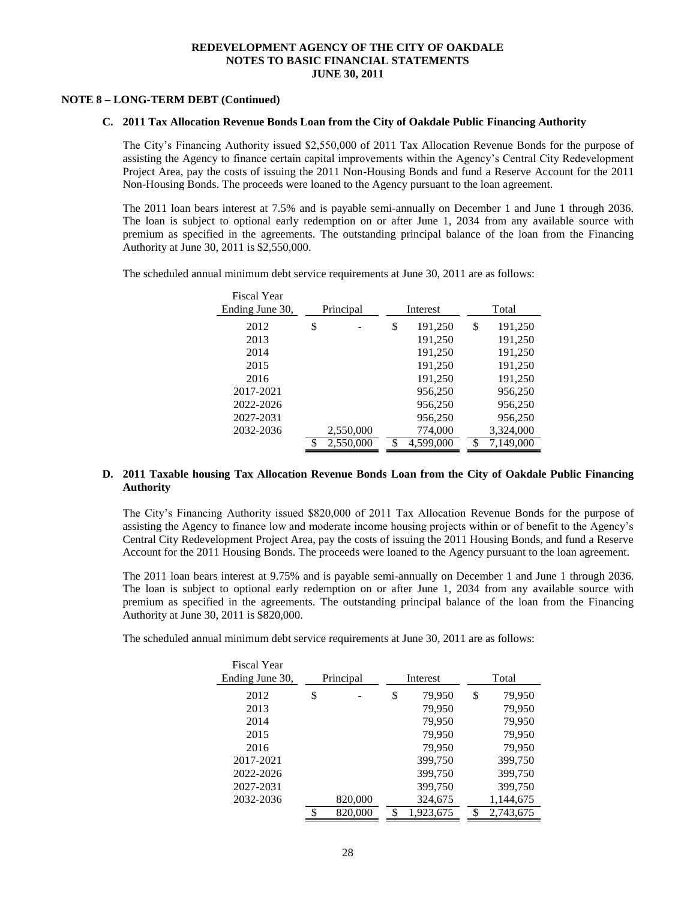#### **NOTE 8 – LONG-TERM DEBT (Continued)**

#### **C. 2011 Tax Allocation Revenue Bonds Loan from the City of Oakdale Public Financing Authority**

The City's Financing Authority issued \$2,550,000 of 2011 Tax Allocation Revenue Bonds for the purpose of assisting the Agency to finance certain capital improvements within the Agency's Central City Redevelopment Project Area, pay the costs of issuing the 2011 Non-Housing Bonds and fund a Reserve Account for the 2011 Non-Housing Bonds. The proceeds were loaned to the Agency pursuant to the loan agreement.

The 2011 loan bears interest at 7.5% and is payable semi-annually on December 1 and June 1 through 2036. The loan is subject to optional early redemption on or after June 1, 2034 from any available source with premium as specified in the agreements. The outstanding principal balance of the loan from the Financing Authority at June 30, 2011 is \$2,550,000.

The scheduled annual minimum debt service requirements at June 30, 2011 are as follows:

Fiscal Year

| riscal rear<br>Ending June 30, | Principal | Interest |           | Total         |  |  |  |
|--------------------------------|-----------|----------|-----------|---------------|--|--|--|
| 2012                           | \$        | \$       | 191,250   | \$<br>191,250 |  |  |  |
| 2013                           |           |          | 191,250   | 191,250       |  |  |  |
| 2014                           |           |          | 191,250   | 191,250       |  |  |  |
| 2015                           |           |          | 191,250   | 191,250       |  |  |  |
| 2016                           |           |          | 191,250   | 191,250       |  |  |  |
| 2017-2021                      |           |          | 956,250   | 956,250       |  |  |  |
| 2022-2026                      |           |          | 956,250   | 956,250       |  |  |  |
| 2027-2031                      |           |          | 956,250   | 956,250       |  |  |  |
| 2032-2036                      | 2,550,000 |          | 774,000   | 3,324,000     |  |  |  |
|                                | 2,550,000 | \$       | 4,599,000 | 7,149,000     |  |  |  |

#### **D. 2011 Taxable housing Tax Allocation Revenue Bonds Loan from the City of Oakdale Public Financing Authority**

The City's Financing Authority issued \$820,000 of 2011 Tax Allocation Revenue Bonds for the purpose of assisting the Agency to finance low and moderate income housing projects within or of benefit to the Agency's Central City Redevelopment Project Area, pay the costs of issuing the 2011 Housing Bonds, and fund a Reserve Account for the 2011 Housing Bonds. The proceeds were loaned to the Agency pursuant to the loan agreement.

The 2011 loan bears interest at 9.75% and is payable semi-annually on December 1 and June 1 through 2036. The loan is subject to optional early redemption on or after June 1, 2034 from any available source with premium as specified in the agreements. The outstanding principal balance of the loan from the Financing Authority at June 30, 2011 is \$820,000.

The scheduled annual minimum debt service requirements at June 30, 2011 are as follows:

| <b>Fiscal Year</b> |           |                 |    |           |  |
|--------------------|-----------|-----------------|----|-----------|--|
| Ending June 30,    | Principal | Interest        |    | Total     |  |
| 2012               | \$        | \$<br>79,950    | \$ | 79,950    |  |
| 2013               |           | 79,950          |    | 79,950    |  |
| 2014               |           | 79,950          |    | 79,950    |  |
| 2015               |           | 79,950          |    | 79,950    |  |
| 2016               |           | 79,950          |    | 79,950    |  |
| 2017-2021          |           | 399,750         |    | 399,750   |  |
| 2022-2026          |           | 399,750         |    | 399,750   |  |
| 2027-2031          |           | 399,750         |    | 399,750   |  |
| 2032-2036          | 820,000   | 324,675         |    | 1,144,675 |  |
|                    | 820,000   | \$<br>1.923.675 | S  | 2.743.675 |  |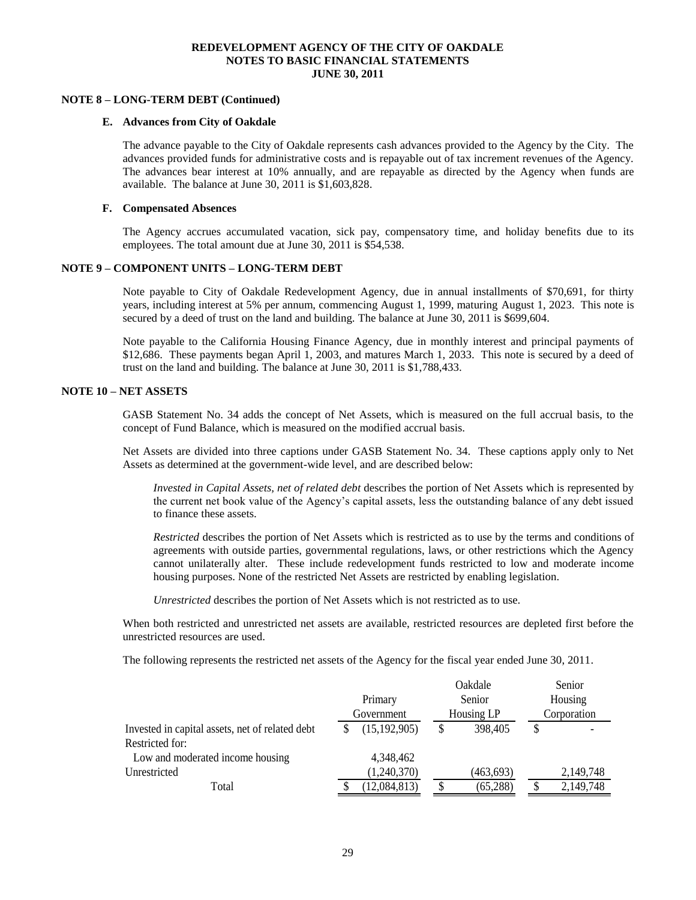#### **NOTE 8 – LONG-TERM DEBT (Continued)**

#### **E. Advances from City of Oakdale**

The advance payable to the City of Oakdale represents cash advances provided to the Agency by the City. The advances provided funds for administrative costs and is repayable out of tax increment revenues of the Agency. The advances bear interest at 10% annually, and are repayable as directed by the Agency when funds are available. The balance at June 30, 2011 is \$1,603,828.

#### **F. Compensated Absences**

The Agency accrues accumulated vacation, sick pay, compensatory time, and holiday benefits due to its employees. The total amount due at June 30, 2011 is \$54,538.

#### **NOTE 9 – COMPONENT UNITS – LONG-TERM DEBT**

Note payable to City of Oakdale Redevelopment Agency, due in annual installments of \$70,691, for thirty years, including interest at 5% per annum, commencing August 1, 1999, maturing August 1, 2023. This note is secured by a deed of trust on the land and building. The balance at June 30, 2011 is \$699,604.

Note payable to the California Housing Finance Agency, due in monthly interest and principal payments of \$12,686. These payments began April 1, 2003, and matures March 1, 2033. This note is secured by a deed of trust on the land and building. The balance at June 30, 2011 is \$1,788,433.

#### **NOTE 10 – NET ASSETS**

GASB Statement No. 34 adds the concept of Net Assets, which is measured on the full accrual basis, to the concept of Fund Balance, which is measured on the modified accrual basis.

Net Assets are divided into three captions under GASB Statement No. 34. These captions apply only to Net Assets as determined at the government-wide level, and are described below:

*Invested in Capital Assets, net of related debt* describes the portion of Net Assets which is represented by the current net book value of the Agency's capital assets, less the outstanding balance of any debt issued to finance these assets.

*Restricted* describes the portion of Net Assets which is restricted as to use by the terms and conditions of agreements with outside parties, governmental regulations, laws, or other restrictions which the Agency cannot unilaterally alter. These include redevelopment funds restricted to low and moderate income housing purposes. None of the restricted Net Assets are restricted by enabling legislation.

*Unrestricted* describes the portion of Net Assets which is not restricted as to use.

When both restricted and unrestricted net assets are available, restricted resources are depleted first before the unrestricted resources are used.

The following represents the restricted net assets of the Agency for the fiscal year ended June 30, 2011.

|                                                 |                | Oakdale        | Senior    |  |
|-------------------------------------------------|----------------|----------------|-----------|--|
|                                                 | Primary        | Senior         | Housing   |  |
|                                                 | Government     | Corporation    |           |  |
| Invested in capital assets, net of related debt | (15, 192, 905) | 398,405<br>\$  | S         |  |
| Restricted for:                                 |                |                |           |  |
| Low and moderated income housing                | 4,348,462      |                |           |  |
| Unrestricted                                    | (1,240,370)    | (463, 693)     | 2,149,748 |  |
| Total                                           | (12,084,813)   | (65, 288)<br>S | 2,149,748 |  |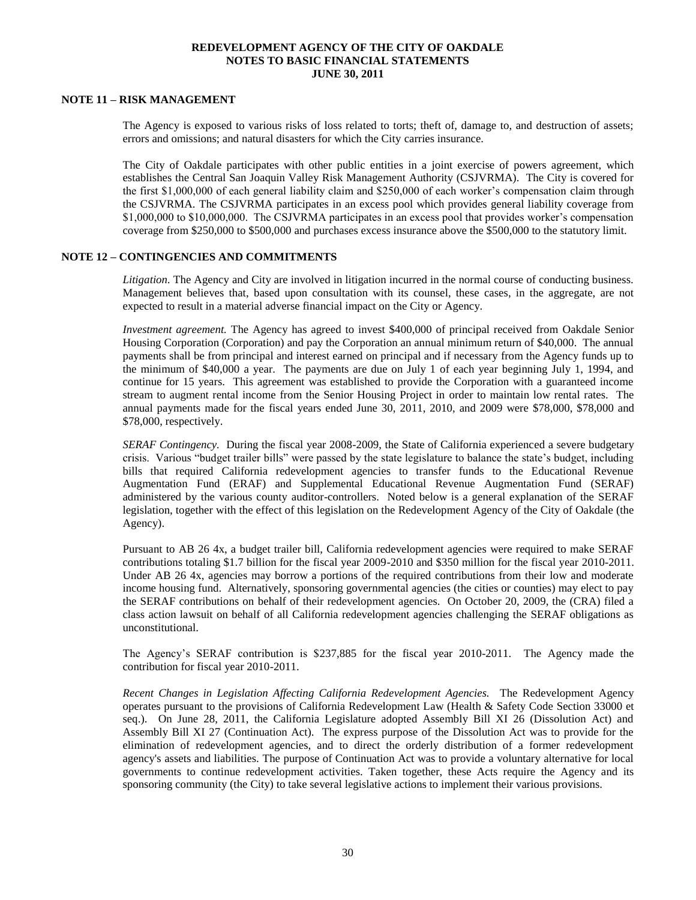#### **NOTE 11 – RISK MANAGEMENT**

The Agency is exposed to various risks of loss related to torts; theft of, damage to, and destruction of assets; errors and omissions; and natural disasters for which the City carries insurance.

The City of Oakdale participates with other public entities in a joint exercise of powers agreement, which establishes the Central San Joaquin Valley Risk Management Authority (CSJVRMA). The City is covered for the first \$1,000,000 of each general liability claim and \$250,000 of each worker's compensation claim through the CSJVRMA. The CSJVRMA participates in an excess pool which provides general liability coverage from \$1,000,000 to \$10,000,000. The CSJVRMA participates in an excess pool that provides worker's compensation coverage from \$250,000 to \$500,000 and purchases excess insurance above the \$500,000 to the statutory limit.

#### **NOTE 12 – CONTINGENCIES AND COMMITMENTS**

*Litigation.* The Agency and City are involved in litigation incurred in the normal course of conducting business. Management believes that, based upon consultation with its counsel, these cases, in the aggregate, are not expected to result in a material adverse financial impact on the City or Agency.

*Investment agreement.* The Agency has agreed to invest \$400,000 of principal received from Oakdale Senior Housing Corporation (Corporation) and pay the Corporation an annual minimum return of \$40,000. The annual payments shall be from principal and interest earned on principal and if necessary from the Agency funds up to the minimum of \$40,000 a year. The payments are due on July 1 of each year beginning July 1, 1994, and continue for 15 years. This agreement was established to provide the Corporation with a guaranteed income stream to augment rental income from the Senior Housing Project in order to maintain low rental rates. The annual payments made for the fiscal years ended June 30, 2011, 2010, and 2009 were \$78,000, \$78,000 and \$78,000, respectively.

*SERAF Contingency.* During the fiscal year 2008-2009, the State of California experienced a severe budgetary crisis. Various "budget trailer bills" were passed by the state legislature to balance the state's budget, including bills that required California redevelopment agencies to transfer funds to the Educational Revenue Augmentation Fund (ERAF) and Supplemental Educational Revenue Augmentation Fund (SERAF) administered by the various county auditor-controllers. Noted below is a general explanation of the SERAF legislation, together with the effect of this legislation on the Redevelopment Agency of the City of Oakdale (the Agency).

Pursuant to AB 26 4x, a budget trailer bill, California redevelopment agencies were required to make SERAF contributions totaling \$1.7 billion for the fiscal year 2009-2010 and \$350 million for the fiscal year 2010-2011. Under AB 26 4x, agencies may borrow a portions of the required contributions from their low and moderate income housing fund. Alternatively, sponsoring governmental agencies (the cities or counties) may elect to pay the SERAF contributions on behalf of their redevelopment agencies. On October 20, 2009, the (CRA) filed a class action lawsuit on behalf of all California redevelopment agencies challenging the SERAF obligations as unconstitutional.

The Agency's SERAF contribution is \$237,885 for the fiscal year 2010-2011. The Agency made the contribution for fiscal year 2010-2011.

*Recent Changes in Legislation Affecting California Redevelopment Agencies.* The Redevelopment Agency operates pursuant to the provisions of California Redevelopment Law (Health & Safety Code Section 33000 et seq.). On June 28, 2011, the California Legislature adopted Assembly Bill XI 26 (Dissolution Act) and Assembly Bill XI 27 (Continuation Act). The express purpose of the Dissolution Act was to provide for the elimination of redevelopment agencies, and to direct the orderly distribution of a former redevelopment agency's assets and liabilities. The purpose of Continuation Act was to provide a voluntary alternative for local governments to continue redevelopment activities. Taken together, these Acts require the Agency and its sponsoring community (the City) to take several legislative actions to implement their various provisions.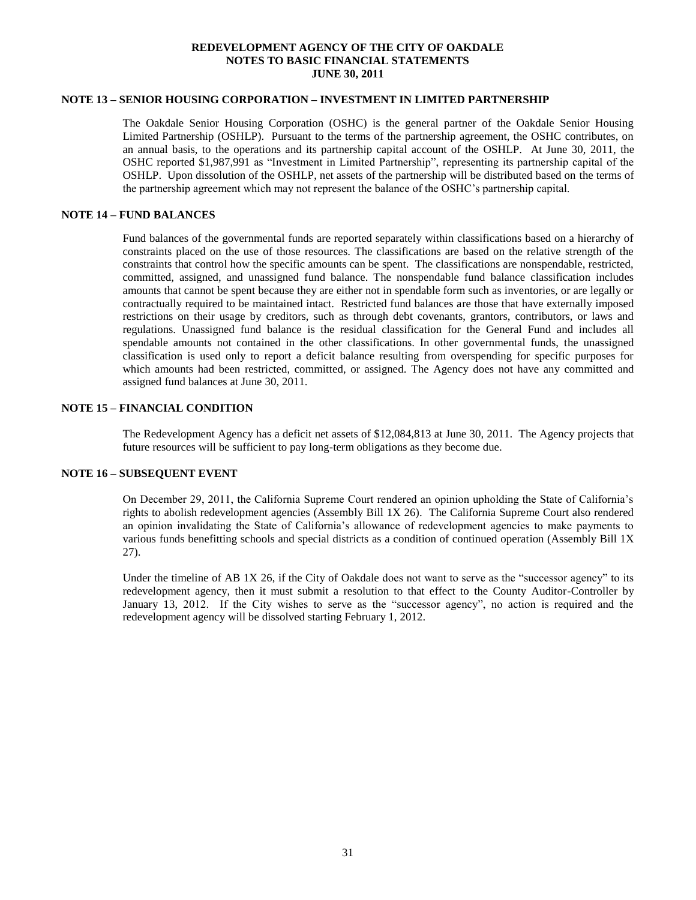#### **NOTE 13 – SENIOR HOUSING CORPORATION – INVESTMENT IN LIMITED PARTNERSHIP**

The Oakdale Senior Housing Corporation (OSHC) is the general partner of the Oakdale Senior Housing Limited Partnership (OSHLP). Pursuant to the terms of the partnership agreement, the OSHC contributes, on an annual basis, to the operations and its partnership capital account of the OSHLP. At June 30, 2011, the OSHC reported \$1,987,991 as "Investment in Limited Partnership", representing its partnership capital of the OSHLP. Upon dissolution of the OSHLP, net assets of the partnership will be distributed based on the terms of the partnership agreement which may not represent the balance of the OSHC's partnership capital.

#### **NOTE 14 – FUND BALANCES**

Fund balances of the governmental funds are reported separately within classifications based on a hierarchy of constraints placed on the use of those resources. The classifications are based on the relative strength of the constraints that control how the specific amounts can be spent. The classifications are nonspendable, restricted, committed, assigned, and unassigned fund balance. The nonspendable fund balance classification includes amounts that cannot be spent because they are either not in spendable form such as inventories, or are legally or contractually required to be maintained intact. Restricted fund balances are those that have externally imposed restrictions on their usage by creditors, such as through debt covenants, grantors, contributors, or laws and regulations. Unassigned fund balance is the residual classification for the General Fund and includes all spendable amounts not contained in the other classifications. In other governmental funds, the unassigned classification is used only to report a deficit balance resulting from overspending for specific purposes for which amounts had been restricted, committed, or assigned. The Agency does not have any committed and assigned fund balances at June 30, 2011.

#### **NOTE 15 – FINANCIAL CONDITION**

The Redevelopment Agency has a deficit net assets of \$12,084,813 at June 30, 2011. The Agency projects that future resources will be sufficient to pay long-term obligations as they become due.

#### **NOTE 16 – SUBSEQUENT EVENT**

On December 29, 2011, the California Supreme Court rendered an opinion upholding the State of California's rights to abolish redevelopment agencies (Assembly Bill 1X 26). The California Supreme Court also rendered an opinion invalidating the State of California's allowance of redevelopment agencies to make payments to various funds benefitting schools and special districts as a condition of continued operation (Assembly Bill 1X 27).

Under the timeline of AB 1X 26, if the City of Oakdale does not want to serve as the "successor agency" to its redevelopment agency, then it must submit a resolution to that effect to the County Auditor-Controller by January 13, 2012. If the City wishes to serve as the "successor agency", no action is required and the redevelopment agency will be dissolved starting February 1, 2012.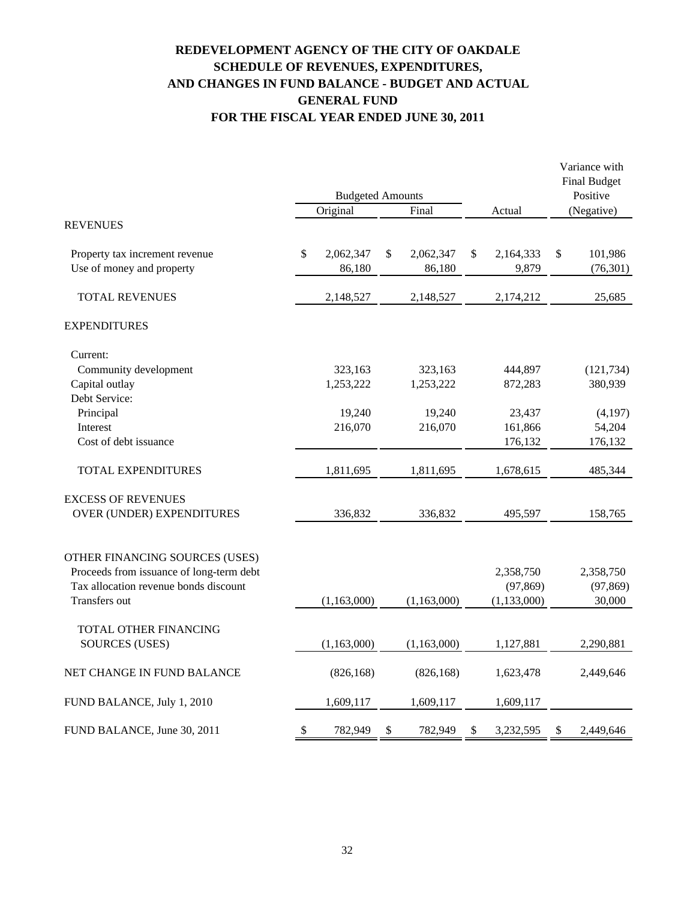# **REDEVELOPMENT AGENCY OF THE CITY OF OAKDALE SCHEDULE OF REVENUES, EXPENDITURES, AND CHANGES IN FUND BALANCE - BUDGET AND ACTUAL GENERAL FUND FOR THE FISCAL YEAR ENDED JUNE 30, 2011**

|                                          | <b>Budgeted Amounts</b> |             |    |             |    |               |    | Variance with<br><b>Final Budget</b> |  |
|------------------------------------------|-------------------------|-------------|----|-------------|----|---------------|----|--------------------------------------|--|
|                                          |                         | Original    |    | Final       |    | Actual        |    | Positive<br>(Negative)               |  |
| <b>REVENUES</b>                          |                         |             |    |             |    |               |    |                                      |  |
| Property tax increment revenue           | \$                      | 2,062,347   | \$ | 2,062,347   | \$ | 2,164,333     | \$ | 101,986                              |  |
| Use of money and property                |                         | 86,180      |    | 86,180      |    | 9,879         |    | (76, 301)                            |  |
| <b>TOTAL REVENUES</b>                    |                         | 2,148,527   |    | 2,148,527   |    | 2,174,212     |    | 25,685                               |  |
| <b>EXPENDITURES</b>                      |                         |             |    |             |    |               |    |                                      |  |
| Current:                                 |                         |             |    |             |    |               |    |                                      |  |
| Community development                    |                         | 323,163     |    | 323,163     |    | 444,897       |    | (121, 734)                           |  |
| Capital outlay                           |                         | 1,253,222   |    | 1,253,222   |    | 872,283       |    | 380,939                              |  |
| Debt Service:                            |                         |             |    |             |    |               |    |                                      |  |
| Principal                                |                         | 19,240      |    | 19,240      |    | 23,437        |    | (4,197)                              |  |
| Interest                                 |                         | 216,070     |    | 216,070     |    | 161,866       |    | 54,204                               |  |
| Cost of debt issuance                    |                         |             |    |             |    | 176,132       |    | 176,132                              |  |
| TOTAL EXPENDITURES                       |                         | 1,811,695   |    | 1,811,695   |    | 1,678,615     |    | 485,344                              |  |
| <b>EXCESS OF REVENUES</b>                |                         |             |    |             |    |               |    |                                      |  |
| OVER (UNDER) EXPENDITURES                |                         | 336,832     |    | 336,832     |    | 495,597       |    | 158,765                              |  |
| OTHER FINANCING SOURCES (USES)           |                         |             |    |             |    |               |    |                                      |  |
| Proceeds from issuance of long-term debt |                         |             |    |             |    | 2,358,750     |    | 2,358,750                            |  |
| Tax allocation revenue bonds discount    |                         |             |    |             |    | (97, 869)     |    | (97, 869)                            |  |
| Transfers out                            |                         | (1,163,000) |    | (1,163,000) |    | (1, 133, 000) |    | 30,000                               |  |
| TOTAL OTHER FINANCING                    |                         |             |    |             |    |               |    |                                      |  |
| <b>SOURCES (USES)</b>                    |                         | (1,163,000) |    | (1,163,000) |    | 1,127,881     |    | 2,290,881                            |  |
| NET CHANGE IN FUND BALANCE               |                         | (826, 168)  |    | (826, 168)  |    | 1,623,478     |    | 2,449,646                            |  |
| FUND BALANCE, July 1, 2010               |                         | 1,609,117   |    | 1,609,117   |    | 1,609,117     |    |                                      |  |
| FUND BALANCE, June 30, 2011              | \$                      | 782,949     | \$ | 782,949     | \$ | 3,232,595     | \$ | 2,449,646                            |  |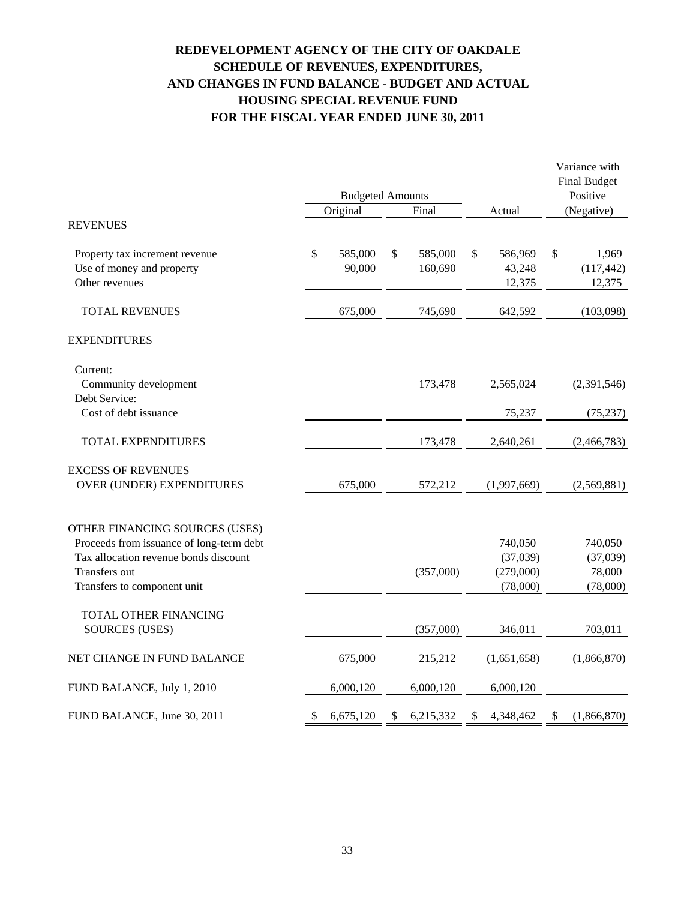# **REDEVELOPMENT AGENCY OF THE CITY OF OAKDALE SCHEDULE OF REVENUES, EXPENDITURES, AND CHANGES IN FUND BALANCE - BUDGET AND ACTUAL HOUSING SPECIAL REVENUE FUND FOR THE FISCAL YEAR ENDED JUNE 30, 2011**

|                                                                                                                                                                     |    |                         |       |                    |    |                                              | Variance with<br><b>Final Budget</b> |                                           |  |
|---------------------------------------------------------------------------------------------------------------------------------------------------------------------|----|-------------------------|-------|--------------------|----|----------------------------------------------|--------------------------------------|-------------------------------------------|--|
| <b>REVENUES</b>                                                                                                                                                     |    | <b>Budgeted Amounts</b> | Final |                    |    | Positive                                     |                                      |                                           |  |
|                                                                                                                                                                     |    | Original                |       |                    |    | Actual                                       |                                      | (Negative)                                |  |
| Property tax increment revenue<br>Use of money and property<br>Other revenues                                                                                       | \$ | 585,000<br>90,000       | \$    | 585,000<br>160,690 | \$ | 586,969<br>43,248<br>12,375                  | \$                                   | 1,969<br>(117, 442)<br>12,375             |  |
| <b>TOTAL REVENUES</b>                                                                                                                                               |    | 675,000                 |       | 745,690            |    | 642,592                                      |                                      | (103,098)                                 |  |
| <b>EXPENDITURES</b>                                                                                                                                                 |    |                         |       |                    |    |                                              |                                      |                                           |  |
| Current:<br>Community development<br>Debt Service:                                                                                                                  |    |                         |       | 173,478            |    | 2,565,024                                    |                                      | (2,391,546)                               |  |
| Cost of debt issuance                                                                                                                                               |    |                         |       |                    |    | 75,237                                       |                                      | (75, 237)                                 |  |
| TOTAL EXPENDITURES                                                                                                                                                  |    |                         |       | 173,478            |    | 2,640,261                                    |                                      | (2,466,783)                               |  |
| <b>EXCESS OF REVENUES</b><br>OVER (UNDER) EXPENDITURES                                                                                                              |    | 675,000                 |       | 572,212            |    | (1,997,669)                                  |                                      | (2,569,881)                               |  |
| OTHER FINANCING SOURCES (USES)<br>Proceeds from issuance of long-term debt<br>Tax allocation revenue bonds discount<br>Transfers out<br>Transfers to component unit |    |                         |       | (357,000)          |    | 740,050<br>(37,039)<br>(279,000)<br>(78,000) |                                      | 740,050<br>(37,039)<br>78,000<br>(78,000) |  |
| TOTAL OTHER FINANCING<br><b>SOURCES (USES)</b>                                                                                                                      |    |                         |       | (357,000)          |    | 346,011                                      |                                      | 703,011                                   |  |
| NET CHANGE IN FUND BALANCE                                                                                                                                          |    | 675,000                 |       | 215,212            |    | (1,651,658)                                  |                                      | (1,866,870)                               |  |
| FUND BALANCE, July 1, 2010                                                                                                                                          |    | 6,000,120               |       | 6,000,120          |    | 6,000,120                                    |                                      |                                           |  |
| FUND BALANCE, June 30, 2011                                                                                                                                         | \$ | 6,675,120               | \$    | 6,215,332          | \$ | 4,348,462                                    | \$                                   | (1,866,870)                               |  |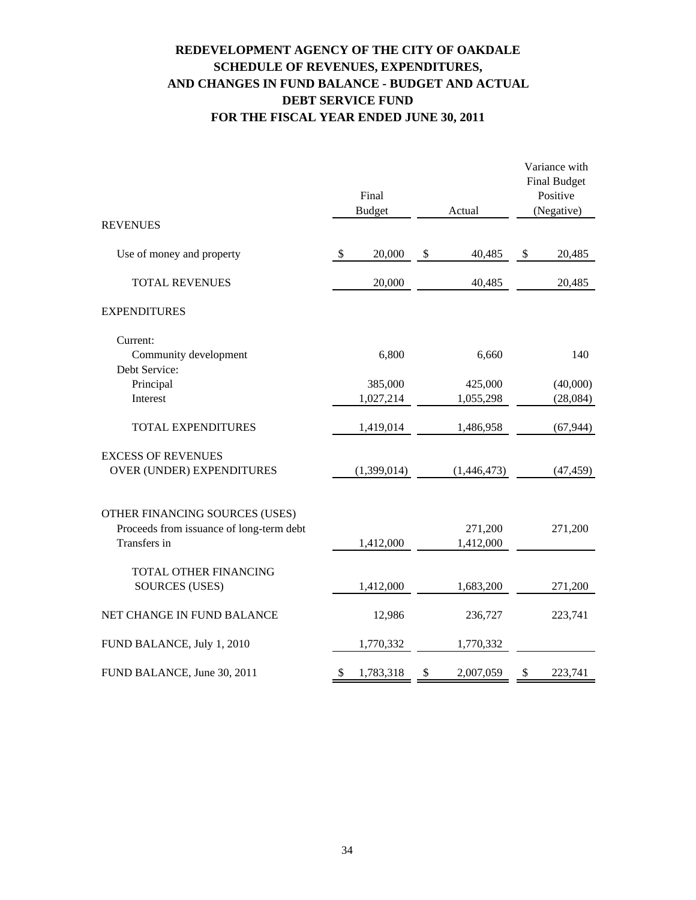# **REDEVELOPMENT AGENCY OF THE CITY OF OAKDALE SCHEDULE OF REVENUES, EXPENDITURES, AND CHANGES IN FUND BALANCE - BUDGET AND ACTUAL DEBT SERVICE FUND FOR THE FISCAL YEAR ENDED JUNE 30, 2011**

|                                                                            | Final<br><b>Budget</b> | Actual          | Variance with<br><b>Final Budget</b><br>Positive<br>(Negative) |           |  |
|----------------------------------------------------------------------------|------------------------|-----------------|----------------------------------------------------------------|-----------|--|
| <b>REVENUES</b>                                                            |                        |                 |                                                                |           |  |
| Use of money and property                                                  | \$<br>20,000           | \$<br>40,485    | \$                                                             | 20,485    |  |
| <b>TOTAL REVENUES</b>                                                      | 20,000                 | 40,485          |                                                                | 20,485    |  |
| <b>EXPENDITURES</b>                                                        |                        |                 |                                                                |           |  |
| Current:                                                                   |                        |                 |                                                                |           |  |
| Community development                                                      | 6,800                  | 6,660           |                                                                | 140       |  |
| Debt Service:<br>Principal                                                 | 385,000                | 425,000         |                                                                | (40,000)  |  |
| Interest                                                                   | 1,027,214              | 1,055,298       |                                                                | (28,084)  |  |
| <b>TOTAL EXPENDITURES</b>                                                  | 1,419,014              | 1,486,958       |                                                                | (67, 944) |  |
| <b>EXCESS OF REVENUES</b>                                                  |                        |                 |                                                                |           |  |
| OVER (UNDER) EXPENDITURES                                                  | (1,399,014)            | (1,446,473)     |                                                                | (47, 459) |  |
|                                                                            |                        |                 |                                                                |           |  |
| OTHER FINANCING SOURCES (USES)<br>Proceeds from issuance of long-term debt |                        | 271,200         |                                                                | 271,200   |  |
| Transfers in                                                               | 1,412,000              | 1,412,000       |                                                                |           |  |
| TOTAL OTHER FINANCING                                                      |                        |                 |                                                                |           |  |
| <b>SOURCES (USES)</b>                                                      | 1,412,000              | 1,683,200       |                                                                | 271,200   |  |
| NET CHANGE IN FUND BALANCE                                                 | 12,986                 | 236,727         |                                                                | 223,741   |  |
| FUND BALANCE, July 1, 2010                                                 | 1,770,332              | 1,770,332       |                                                                |           |  |
| FUND BALANCE, June 30, 2011                                                | \$<br>1,783,318        | \$<br>2,007,059 | \$                                                             | 223,741   |  |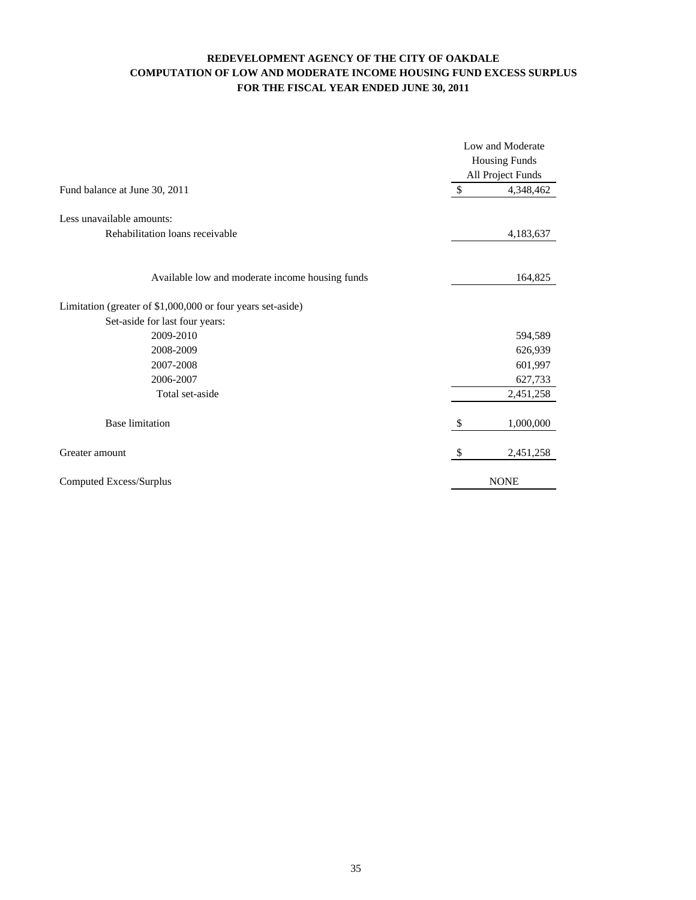### **FOR THE FISCAL YEAR ENDED JUNE 30, 2011 COMPUTATION OF LOW AND MODERATE INCOME HOUSING FUND EXCESS SURPLUS REDEVELOPMENT AGENCY OF THE CITY OF OAKDALE**

|                                                              | Low and Moderate<br><b>Housing Funds</b><br>All Project Funds |             |  |  |  |
|--------------------------------------------------------------|---------------------------------------------------------------|-------------|--|--|--|
| Fund balance at June 30, 2011                                | $\mathcal{S}$                                                 | 4,348,462   |  |  |  |
| Less unavailable amounts:<br>Rehabilitation loans receivable |                                                               | 4,183,637   |  |  |  |
| Available low and moderate income housing funds              |                                                               | 164,825     |  |  |  |
| Limitation (greater of \$1,000,000 or four years set-aside)  |                                                               |             |  |  |  |
| Set-aside for last four years:                               |                                                               |             |  |  |  |
| 2009-2010                                                    |                                                               | 594,589     |  |  |  |
| 2008-2009                                                    |                                                               | 626,939     |  |  |  |
| 2007-2008                                                    |                                                               | 601,997     |  |  |  |
| 2006-2007                                                    |                                                               | 627,733     |  |  |  |
| Total set-aside                                              |                                                               | 2,451,258   |  |  |  |
| <b>Base limitation</b>                                       | \$                                                            | 1,000,000   |  |  |  |
| Greater amount                                               | \$                                                            | 2,451,258   |  |  |  |
| Computed Excess/Surplus                                      |                                                               | <b>NONE</b> |  |  |  |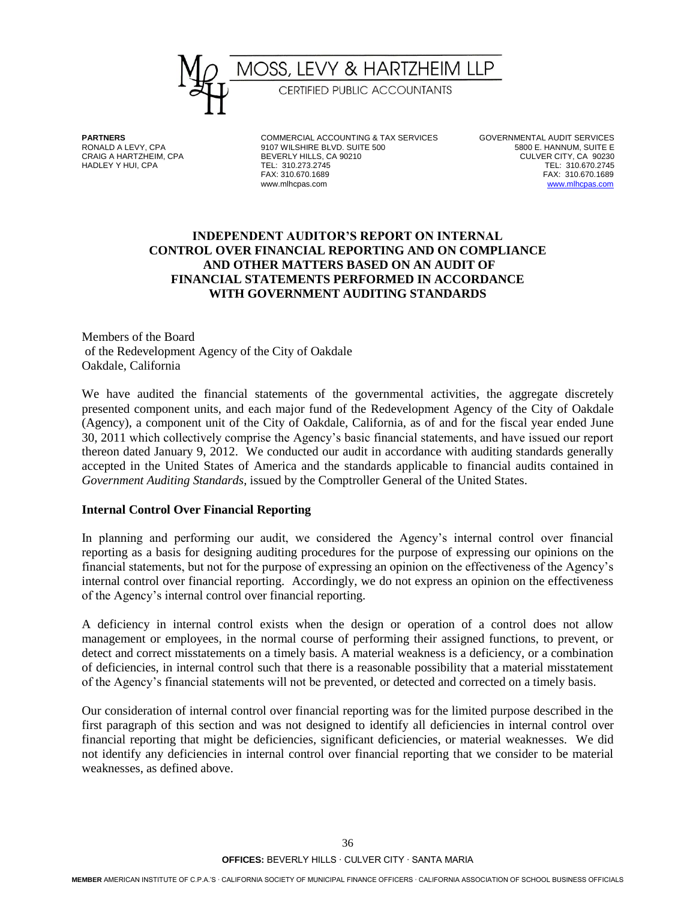

**PARTNERS** COMMERCIAL ACCOUNTING & TAX SERVICES GOVERNMENTAL AUDIT SERVICES<br>RONALD A LEVY, CPA 9107 WILSHIRE BLVD. SUITE 500 6. HANNUM, SUITE E RONALD A LEVY, CPA 9107 WILSHIRE BLVD. SUITE 500 5800 E. HANNUM, SUITE E BEVERLY HILLS, CA 90210 HADLEY Y HUI, CPA TEL: 310.273.2745 TEL: 310.670.2745 FAX: 310.670.1689 FAX: 310.670.1689

[www.mlhcpas.com](http://www.mlhcpas.com/)

### **INDEPENDENT AUDITOR'S REPORT ON INTERNAL CONTROL OVER FINANCIAL REPORTING AND ON COMPLIANCE AND OTHER MATTERS BASED ON AN AUDIT OF FINANCIAL STATEMENTS PERFORMED IN ACCORDANCE WITH GOVERNMENT AUDITING STANDARDS**

Members of the Board of the Redevelopment Agency of the City of Oakdale Oakdale, California

We have audited the financial statements of the governmental activities, the aggregate discretely presented component units, and each major fund of the Redevelopment Agency of the City of Oakdale (Agency), a component unit of the City of Oakdale, California, as of and for the fiscal year ended June 30, 2011 which collectively comprise the Agency's basic financial statements, and have issued our report thereon dated January 9, 2012. We conducted our audit in accordance with auditing standards generally accepted in the United States of America and the standards applicable to financial audits contained in *Government Auditing Standards*, issued by the Comptroller General of the United States.

### **Internal Control Over Financial Reporting**

In planning and performing our audit, we considered the Agency's internal control over financial reporting as a basis for designing auditing procedures for the purpose of expressing our opinions on the financial statements, but not for the purpose of expressing an opinion on the effectiveness of the Agency's internal control over financial reporting. Accordingly, we do not express an opinion on the effectiveness of the Agency's internal control over financial reporting.

A deficiency in internal control exists when the design or operation of a control does not allow management or employees, in the normal course of performing their assigned functions, to prevent, or detect and correct misstatements on a timely basis. A material weakness is a deficiency, or a combination of deficiencies, in internal control such that there is a reasonable possibility that a material misstatement of the Agency's financial statements will not be prevented, or detected and corrected on a timely basis.

Our consideration of internal control over financial reporting was for the limited purpose described in the first paragraph of this section and was not designed to identify all deficiencies in internal control over financial reporting that might be deficiencies, significant deficiencies, or material weaknesses. We did not identify any deficiencies in internal control over financial reporting that we consider to be material weaknesses, as defined above.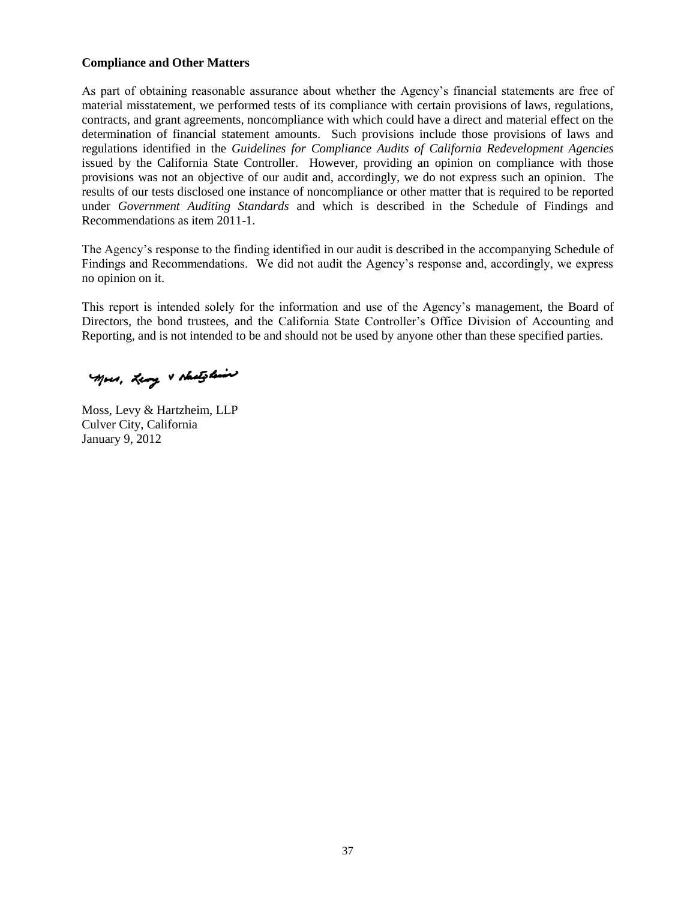### **Compliance and Other Matters**

As part of obtaining reasonable assurance about whether the Agency's financial statements are free of material misstatement, we performed tests of its compliance with certain provisions of laws, regulations, contracts, and grant agreements, noncompliance with which could have a direct and material effect on the determination of financial statement amounts. Such provisions include those provisions of laws and regulations identified in the *Guidelines for Compliance Audits of California Redevelopment Agencies*  issued by the California State Controller. However, providing an opinion on compliance with those provisions was not an objective of our audit and, accordingly, we do not express such an opinion. The results of our tests disclosed one instance of noncompliance or other matter that is required to be reported under *Government Auditing Standards* and which is described in the Schedule of Findings and Recommendations as item 2011-1.

The Agency's response to the finding identified in our audit is described in the accompanying Schedule of Findings and Recommendations. We did not audit the Agency's response and, accordingly, we express no opinion on it.

This report is intended solely for the information and use of the Agency's management, the Board of Directors, the bond trustees, and the California State Controller's Office Division of Accounting and Reporting, and is not intended to be and should not be used by anyone other than these specified parties.

Mors, Leng & shates line

Moss, Levy & Hartzheim, LLP Culver City, California January 9, 2012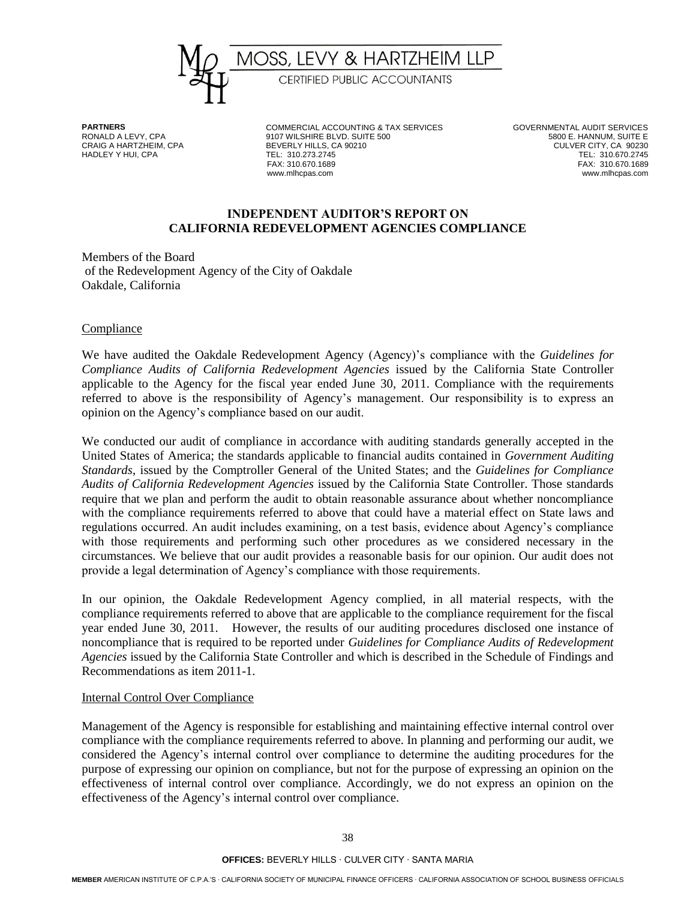

HADLEY Y HUI, CPA

**PARTNERS** COMMERCIAL ACCOUNTING & TAX SERVICES GOVERNMENTAL AUDIT SERVICES<br>RONALD A LEVY, CPA **COMMERCIAL ACCOUNTING SULTE 500** 6 CONFINITIE E 9107 WILSHIRE BLVD. SUITE 500 CRAIG A HARTZHEIM, CPA BEVERLY HILLS, CA 90210 CULVER CITY, CA 90230 FAX: 310.670.1689 FAX: 310.670.1689

www.mlhcpas.com

### **INDEPENDENT AUDITOR'S REPORT ON CALIFORNIA REDEVELOPMENT AGENCIES COMPLIANCE**

Members of the Board of the Redevelopment Agency of the City of Oakdale Oakdale, California

### **Compliance**

We have audited the Oakdale Redevelopment Agency (Agency)'s compliance with the *Guidelines for Compliance Audits of California Redevelopment Agencies* issued by the California State Controller applicable to the Agency for the fiscal year ended June 30, 2011. Compliance with the requirements referred to above is the responsibility of Agency's management. Our responsibility is to express an opinion on the Agency's compliance based on our audit.

We conducted our audit of compliance in accordance with auditing standards generally accepted in the United States of America; the standards applicable to financial audits contained in *Government Auditing Standards*, issued by the Comptroller General of the United States; and the *Guidelines for Compliance Audits of California Redevelopment Agencies* issued by the California State Controller. Those standards require that we plan and perform the audit to obtain reasonable assurance about whether noncompliance with the compliance requirements referred to above that could have a material effect on State laws and regulations occurred. An audit includes examining, on a test basis, evidence about Agency's compliance with those requirements and performing such other procedures as we considered necessary in the circumstances. We believe that our audit provides a reasonable basis for our opinion. Our audit does not provide a legal determination of Agency's compliance with those requirements.

In our opinion, the Oakdale Redevelopment Agency complied, in all material respects, with the compliance requirements referred to above that are applicable to the compliance requirement for the fiscal year ended June 30, 2011. However, the results of our auditing procedures disclosed one instance of noncompliance that is required to be reported under *Guidelines for Compliance Audits of Redevelopment Agencies* issued by the California State Controller and which is described in the Schedule of Findings and Recommendations as item 2011-1.

#### Internal Control Over Compliance

Management of the Agency is responsible for establishing and maintaining effective internal control over compliance with the compliance requirements referred to above. In planning and performing our audit, we considered the Agency's internal control over compliance to determine the auditing procedures for the purpose of expressing our opinion on compliance, but not for the purpose of expressing an opinion on the effectiveness of internal control over compliance. Accordingly, we do not express an opinion on the effectiveness of the Agency's internal control over compliance.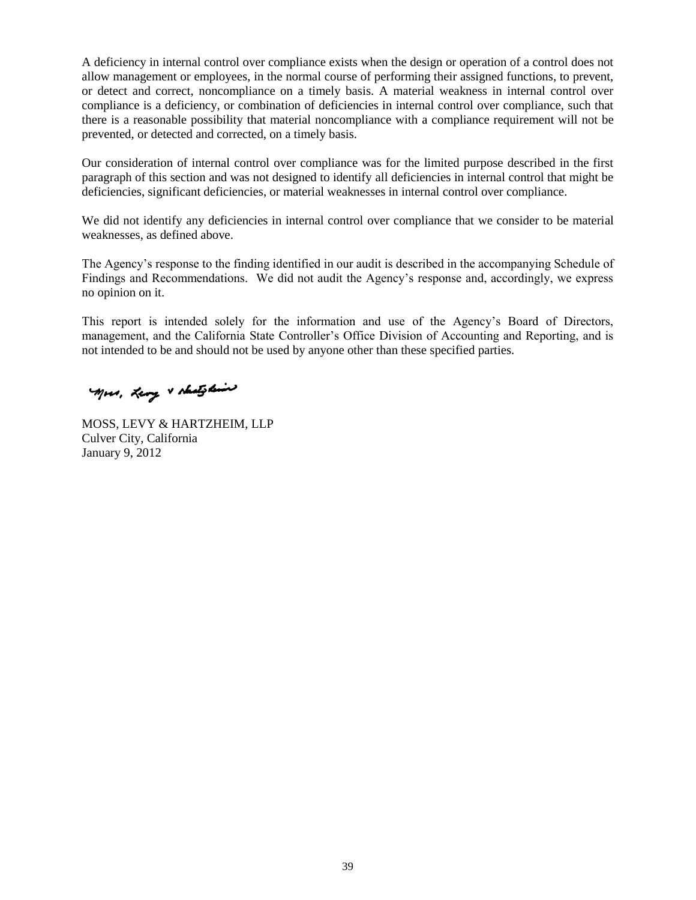A deficiency in internal control over compliance exists when the design or operation of a control does not allow management or employees, in the normal course of performing their assigned functions, to prevent, or detect and correct, noncompliance on a timely basis. A material weakness in internal control over compliance is a deficiency, or combination of deficiencies in internal control over compliance, such that there is a reasonable possibility that material noncompliance with a compliance requirement will not be prevented, or detected and corrected, on a timely basis.

Our consideration of internal control over compliance was for the limited purpose described in the first paragraph of this section and was not designed to identify all deficiencies in internal control that might be deficiencies, significant deficiencies, or material weaknesses in internal control over compliance.

We did not identify any deficiencies in internal control over compliance that we consider to be material weaknesses, as defined above.

The Agency's response to the finding identified in our audit is described in the accompanying Schedule of Findings and Recommendations. We did not audit the Agency's response and, accordingly, we express no opinion on it.

This report is intended solely for the information and use of the Agency's Board of Directors, management, and the California State Controller's Office Division of Accounting and Reporting, and is not intended to be and should not be used by anyone other than these specified parties.

Mors, Leng & shates line

MOSS, LEVY & HARTZHEIM, LLP Culver City, California January 9, 2012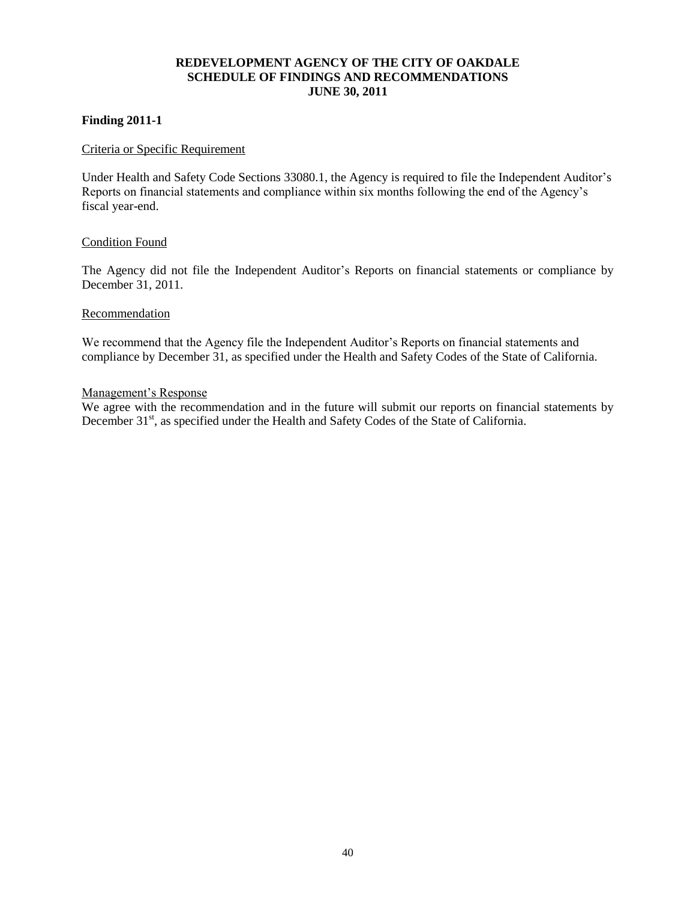### **REDEVELOPMENT AGENCY OF THE CITY OF OAKDALE SCHEDULE OF FINDINGS AND RECOMMENDATIONS JUNE 30, 2011**

### **Finding 2011-1**

### Criteria or Specific Requirement

Under Health and Safety Code Sections 33080.1, the Agency is required to file the Independent Auditor's Reports on financial statements and compliance within six months following the end of the Agency's fiscal year-end.

#### Condition Found

The Agency did not file the Independent Auditor's Reports on financial statements or compliance by December 31, 2011.

#### Recommendation

We recommend that the Agency file the Independent Auditor's Reports on financial statements and compliance by December 31, as specified under the Health and Safety Codes of the State of California.

#### Management's Response

We agree with the recommendation and in the future will submit our reports on financial statements by December 31<sup>st</sup>, as specified under the Health and Safety Codes of the State of California.